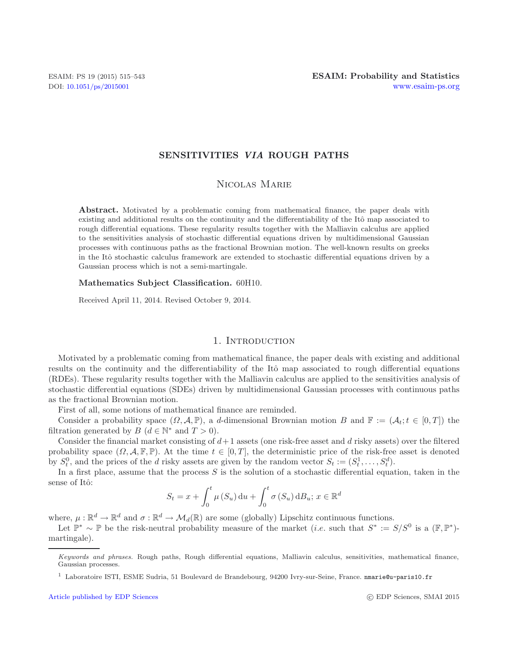## **SENSITIVITIES** *VIA* **ROUGH PATHS**

## Nicolas Marie

**Abstract.** Motivated by a problematic coming from mathematical finance, the paper deals with existing and additional results on the continuity and the differentiability of the Itô map associated to rough differential equations. These regularity results together with the Malliavin calculus are applied to the sensitivities analysis of stochastic differential equations driven by multidimensional Gaussian processes with continuous paths as the fractional Brownian motion. The well-known results on greeks in the Itô stochastic calculus framework are extended to stochastic differential equations driven by a Gaussian process which is not a semi-martingale.

#### **Mathematics Subject Classification.** 60H10.

Received April 11, 2014. Revised October 9, 2014.

### 1. Introduction

Motivated by a problematic coming from mathematical finance, the paper deals with existing and additional results on the continuity and the differentiability of the Itô map associated to rough differential equations (RDEs). These regularity results together with the Malliavin calculus are applied to the sensitivities analysis of stochastic differential equations (SDEs) driven by multidimensional Gaussian processes with continuous paths as the fractional Brownian motion.

First of all, some notions of mathematical finance are reminded.

Consider a probability space  $(\Omega, \mathcal{A}, \mathbb{P})$ , a d-dimensional Brownian motion B and  $\mathbb{F} := (\mathcal{A}_t; t \in [0, T])$  the filtration generated by  $B$   $(d \in \mathbb{N}^*)$  and  $T > 0$ .

Consider the financial market consisting of  $d+1$  assets (one risk-free asset and d risky assets) over the filtered probability space  $(\Omega, \mathcal{A}, \mathbb{F}, \mathbb{P})$ . At the time  $t \in [0, T]$ , the deterministic price of the risk-free asset is denoted by  $S_t^0$ , and the prices of the d risky assets are given by the random vector  $S_t := (S_t^1, \ldots, S_t^d)$ .

In a first place, assume that the process  $S$  is the solution of a stochastic differential equation, taken in the sense of Itô:

$$
S_t = x + \int_0^t \mu(S_u) \, \mathrm{d}u + \int_0^t \sigma(S_u) \, \mathrm{d}B_u; \, x \in \mathbb{R}^d
$$

where,  $\mu : \mathbb{R}^d \to \mathbb{R}^d$  and  $\sigma : \mathbb{R}^d \to \mathcal{M}_d(\mathbb{R})$  are some (globally) Lipschitz continuous functions.

<span id="page-0-0"></span>Let  $\mathbb{P}^* \sim \mathbb{P}$  be the risk-neutral probability measure of the market (*i.e.* such that  $S^* := S/S^0$  is a  $(\mathbb{F}, \mathbb{P}^*)$ martingale).

c EDP Sciences, SMAI 2015

Keywords and phrases. Rough paths, Rough differential equations, Malliavin calculus, sensitivities, mathematical finance, Gaussian processes.

<sup>1</sup> Laboratoire ISTI, ESME Sudria, 51 Boulevard de Brandebourg, 94200 Ivry-sur-Seine, France. nmarie@u-paris10.fr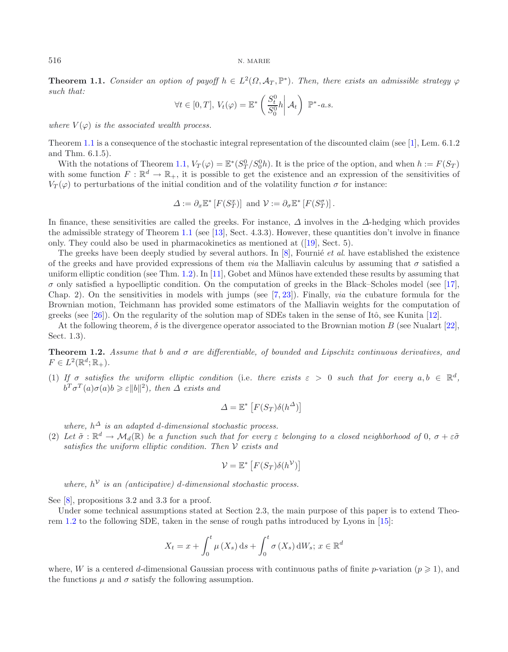**Theorem 1.1.** *Consider an option of payoff*  $h \in L^2(\Omega, \mathcal{A}_T, \mathbb{P}^*)$ *. Then, there exists an admissible strategy*  $\varphi$ *such that:*

$$
\forall t \in [0, T], \ V_t(\varphi) = \mathbb{E}^* \left( \frac{S_t^0}{S_0^0} h \middle| \mathcal{A}_t \right) \ \mathbb{P}^* \text{-} a.s.
$$

*where*  $V(\varphi)$  *is the associated wealth process.* 

Theorem [1.1](#page-0-0) is a consequence of the stochastic integral representation of the discounted claim (see [\[1\]](#page-27-0), Lem. 6.1.2 and Thm. 6.1.5).

With the notations of Theorem [1.1,](#page-0-0)  $V_T(\varphi) = \mathbb{E}^*(S_T^0/S_0^0 h)$ . It is the price of the option, and when  $h := F(S_T)$ with some function  $F : \mathbb{R}^d \to \mathbb{R}_+$ , it is possible to get the existence and an expression of the sensitivities of  $V_T(\varphi)$  to perturbations of the initial condition and of the volatility function  $\sigma$  for instance:

$$
\Delta := \partial_x \mathbb{E}^* \left[ F(S_T^x) \right] \text{ and } \mathcal{V} := \partial_\sigma \mathbb{E}^* \left[ F(S_T^\sigma) \right].
$$

<span id="page-1-0"></span>In finance, these sensitivities are called the greeks. For instance,  $\Delta$  involves in the  $\Delta$ -hedging which provides the admissible strategy of Theorem [1.1](#page-0-0) (see [\[13](#page-28-0)], Sect. 4.3.3). However, these quantities don't involve in finance only. They could also be used in pharmacokinetics as mentioned at ([\[19](#page-28-1)], Sect. 5).

The greeks have been deeply studied by several authors. In [\[8\]](#page-27-1), Fournie *et al.* have established the existence of the greeks and have provided expressions of them *via* the Malliavin calculus by assuming that  $\sigma$  satisfied a uniform elliptic condition (see Thm.  $1.2$ ). In [\[11](#page-28-2)], Gobet and Münos have extended these results by assuming that  $\sigma$  only satisfied a hypoelliptic condition. On the computation of greeks in the Black–Scholes model (see [\[17](#page-28-3)], Chap. 2). On the sensitivities in models with jumps (see [\[7](#page-27-2), [23\]](#page-28-4)). Finally, *via* the cubature formula for the Brownian motion, Teichmann has provided some estimators of the Malliavin weights for the computation of greeks (see [\[26\]](#page-28-5)). On the regularity of the solution map of SDEs taken in the sense of Itô, see Kunita  $[12]$ .

At the following theorem,  $\delta$  is the divergence operator associated to the Brownian motion B (see Nualart [\[22](#page-28-7)], Sect. 1.3).

**Theorem 1.2.** *Assume that* b *and* σ *are differentiable, of bounded and Lipschitz continuous derivatives, and*  $F \in L^2(\mathbb{R}^d;\mathbb{R}_+).$ 

(1) If  $\sigma$  satisfies the uniform elliptic condition (i.e. there exists  $\varepsilon > 0$  such that for every  $a, b \in \mathbb{R}^d$ ,  $b^T \sigma^T(a) \sigma(a) b \geqslant \varepsilon ||b||^2$ ), then  $\Delta$  exists and

$$
\Delta = \mathbb{E}^* \left[ F(S_T) \delta(h^{\Delta}) \right]
$$

*where,*  $h^{\Delta}$  *is an adapted d-dimensional stochastic process.* 

(2) Let  $\tilde{\sigma}: \mathbb{R}^d \to \mathcal{M}_d(\mathbb{R})$  be a function such that for every  $\varepsilon$  belonging to a closed neighborhood of 0,  $\sigma + \varepsilon \tilde{\sigma}$ *satisfies the uniform elliptic condition. Then* V *exists and*

<span id="page-1-1"></span>
$$
\mathcal{V} = \mathbb{E}^* \left[ F(S_T) \delta(h^{\mathcal{V}}) \right]
$$

*where,*  $h^{\mathcal{V}}$  *is an (anticipative) d*-dimensional stochastic process.

See [\[8](#page-27-1)], propositions 3.2 and 3.3 for a proof.

Under some technical assumptions stated at Section 2.3, the main purpose of this paper is to extend Theorem [1.2](#page-1-0) to the following SDE, taken in the sense of rough paths introduced by Lyons in [\[15\]](#page-28-8):

$$
X_t = x + \int_0^t \mu(X_s) \, ds + \int_0^t \sigma(X_s) \, dW_s; \, x \in \mathbb{R}^d
$$

where, W is a centered d-dimensional Gaussian process with continuous paths of finite p-variation  $(p \geq 1)$ , and the functions  $\mu$  and  $\sigma$  satisfy the following assumption.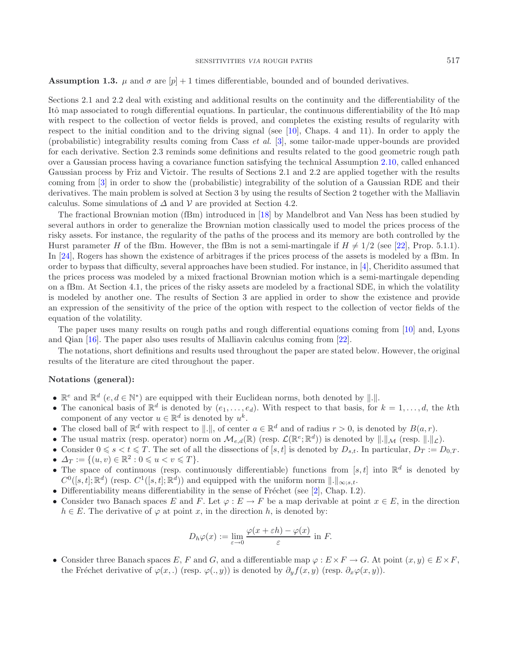**Assumption 1.3.**  $\mu$  and  $\sigma$  are  $[p] + 1$  times differentiable, bounded and of bounded derivatives.

Sections 2.1 and 2.2 deal with existing and additional results on the continuity and the differentiability of the Itô map associated to rough differential equations. In particular, the continuous differentiability of the Itô map with respect to the collection of vector fields is proved, and completes the existing results of regularity with respect to the initial condition and to the driving signal (see [\[10\]](#page-28-9), Chaps. 4 and 11). In order to apply the (probabilistic) integrability results coming from Cass *et al.* [\[3](#page-27-3)], some tailor-made upper-bounds are provided for each derivative. Section 2.3 reminds some definitions and results related to the good geometric rough path over a Gaussian process having a covariance function satisfying the technical Assumption [2.10,](#page-15-0) called enhanced Gaussian process by Friz and Victoir. The results of Sections 2.1 and 2.2 are applied together with the results coming from [\[3\]](#page-27-3) in order to show the (probabilistic) integrability of the solution of a Gaussian RDE and their derivatives. The main problem is solved at Section 3 by using the results of Section 2 together with the Malliavin calculus. Some simulations of  $\Delta$  and  $\mathcal V$  are provided at Section 4.2.

The fractional Brownian motion (fBm) introduced in [\[18](#page-28-10)] by Mandelbrot and Van Ness has been studied by several authors in order to generalize the Brownian motion classically used to model the prices process of the risky assets. For instance, the regularity of the paths of the process and its memory are both controlled by the Hurst parameter H of the fBm. However, the fBm is not a semi-martingale if  $H \neq 1/2$  (see [\[22\]](#page-28-7), Prop. 5.1.1). In [\[24\]](#page-28-11), Rogers has shown the existence of arbitrages if the prices process of the assets is modeled by a fBm. In order to bypass that difficulty, several approaches have been studied. For instance, in [\[4\]](#page-27-4), Cheridito assumed that the prices process was modeled by a mixed fractional Brownian motion which is a semi-martingale depending on a fBm. At Section 4.1, the prices of the risky assets are modeled by a fractional SDE, in which the volatility is modeled by another one. The results of Section 3 are applied in order to show the existence and provide an expression of the sensitivity of the price of the option with respect to the collection of vector fields of the equation of the volatility.

The paper uses many results on rough paths and rough differential equations coming from [\[10](#page-28-9)] and, Lyons and Qian [\[16](#page-28-12)]. The paper also uses results of Malliavin calculus coming from [\[22\]](#page-28-7).

The notations, short definitions and results used throughout the paper are stated below. However, the original results of the literature are cited throughout the paper.

## **Notations (general):**

- $\mathbb{R}^e$  and  $\mathbb{R}^d$   $(e, d \in \mathbb{N}^*)$  are equipped with their Euclidean norms, both denoted by  $\|.\|$ .
- The canonical basis of  $\mathbb{R}^d$  is denoted by  $(e_1,\ldots,e_d)$ . With respect to that basis, for  $k = 1,\ldots,d$ , the kth component of any vector  $u \in \mathbb{R}^d$  is denoted by  $u^k$ .
- The closed ball of  $\mathbb{R}^d$  with respect to  $\|.\|$ , of center  $a \in \mathbb{R}^d$  and of radius  $r > 0$ , is denoted by  $B(a, r)$ .
- The usual matrix (resp. operator) norm on  $\mathcal{M}_{e,d}(\mathbb{R})$  (resp.  $\mathcal{L}(\mathbb{R}^e;\mathbb{R}^d)$ ) is denoted by  $\|.\|_{\mathcal{M}}$  (resp.  $\|.\|_{\mathcal{L}}$ ).
- Consider  $0 \le s < t \le T$ . The set of all the dissections of  $[s, t]$  is denoted by  $D_{s,t}$ . In particular,  $D_T := D_{0,T}$ .
- $\Delta_T := \{(u, v) \in \mathbb{R}^2 : 0 \leq u < v \leq T\}.$
- The space of continuous (resp. continuously differentiable) functions from [s, t] into  $\mathbb{R}^d$  is denoted by  $C^0([s,t];\mathbb{R}^d)$  (resp.  $C^1([s,t];\mathbb{R}^d)$ ) and equipped with the uniform norm  $\|.\|_{\infty:s,t}$ .
- Differentiability means differentiability in the sense of Fréchet (see [\[2\]](#page-27-5), Chap. I.2).
- Consider two Banach spaces E and F. Let  $\varphi : E \to F$  be a map derivable at point  $x \in E$ , in the direction  $h \in E$ . The derivative of  $\varphi$  at point x, in the direction h, is denoted by:

$$
D_h \varphi(x) := \lim_{\varepsilon \to 0} \frac{\varphi(x + \varepsilon h) - \varphi(x)}{\varepsilon} \text{ in } F.
$$

• Consider three Banach spaces E, F and G, and a differentiable map  $\varphi : E \times F \to G$ . At point  $(x, y) \in E \times F$ , the Fréchet derivative of  $\varphi(x,.)$  (resp.  $\varphi(., y)$ ) is denoted by  $\partial_y f(x, y)$  (resp.  $\partial_x \varphi(x, y)$ ).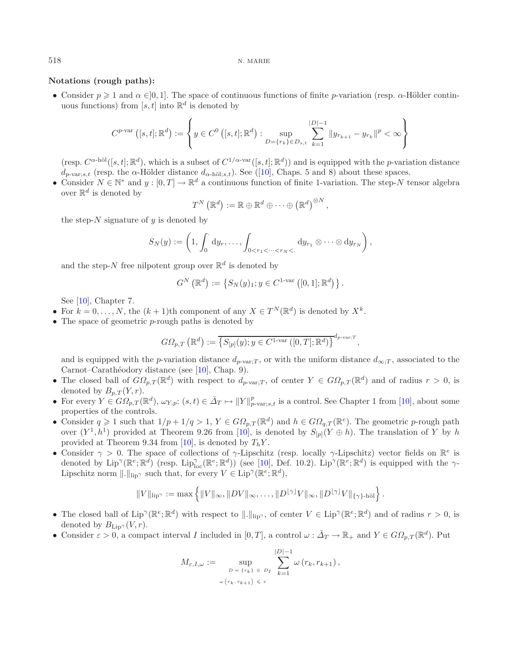### **Notations (rough paths):**

• Consider  $p \ge 1$  and  $\alpha \in ]0,1]$ . The space of continuous functions of finite p-variation (resp.  $\alpha$ -Hölder continuous functions) from [s, t] into  $\mathbb{R}^d$  is denoted by

$$
C^{p\text{-var}}([s,t];\mathbb{R}^d) := \left\{ y \in C^0([s,t];\mathbb{R}^d) : \sup_{D=\{r_k\} \in D_{s,t}} \sum_{k=1}^{|D|-1} \|y_{r_{k+1}} - y_{r_k}\|^p < \infty \right\}
$$

(resp.  $C^{\alpha-\text{h\"{o}l}}([s,t];\mathbb{R}^d)$ , which is a subset of  $C^{1/\alpha-\text{var}}([s,t];\mathbb{R}^d)$ ) and is equipped with the *p*-variation distance  $d_{p\text{-}\text{var}:s,t}$  (resp. the  $\alpha$ -Hölder distance  $d_{\alpha\text{-}\text{h\"{o}l}:s,t}$ ). See ([\[10\]](#page-28-9), Chaps. 5 and 8) about these spaces.

• Consider  $N \in \mathbb{N}^*$  and  $y : [0, T] \to \mathbb{R}^d$  a continuous function of finite 1-variation. The step-N tensor algebra over  $\mathbb{R}^d$  is denoted by

$$
T^N\left(\mathbb{R}^d\right) := \mathbb{R} \oplus \mathbb{R}^d \oplus \cdots \oplus \left(\mathbb{R}^d\right)^{\otimes N},
$$

the step- $N$  signature of  $y$  is denoted by

$$
S_N(y) := \left(1, \int_0^{\cdot} dy_r, \ldots, \int_{0 < r_1 < \cdots < r_N < \cdot} dy_{r_1} \otimes \cdots \otimes dy_{r_N}\right),
$$

and the step-N free nilpotent group over  $\mathbb{R}^d$  is denoted by

$$
G^{N}(\mathbb{R}^{d}) := \{ S_{N}(y)_{1}; y \in C^{1-\text{var}}([0,1]; \mathbb{R}^{d}) \}.
$$

See [\[10](#page-28-9)], Chapter 7.

- For  $k = 0, \ldots, N$ , the  $(k + 1)$ th component of any  $X \in T^N(\mathbb{R}^d)$  is denoted by  $X^k$ .
- The space of geometric p-rough paths is denoted by

$$
G\Omega_{p,T}\left(\mathbb{R}^d\right) := \overline{\left\{S_{[p]}(y); y \in C^{1-\text{var}}\left([0,T]; \mathbb{R}^d\right)\right\}}^{d_{p-\text{var};T}},
$$

and is equipped with the p-variation distance  $d_{p\text{-var}}$ ; or with the uniform distance  $d_{\infty}$ ; associated to the Carnot–Carathéodory distance (see [\[10\]](#page-28-9), Chap. 9).

- The closed ball of  $G\Omega_{p,T}(\mathbb{R}^d)$  with respect to  $d_{p\text{-var};T}$ , of center  $Y \in G\Omega_{p,T}(\mathbb{R}^d)$  and of radius  $r > 0$ , is denoted by  $B_{p,T}(Y,r)$ .
- For every  $Y \in G\Omega_{p,T}(\mathbb{R}^d)$ ,  $\omega_{Y,p}: (s,t) \in \bar{\Delta}_T \mapsto ||Y||_{p-\text{var};s,t}^p$  is a control. See Chapter 1 from [\[10](#page-28-9)], about some properties of the controls.
- Consider  $q \geq 1$  such that  $1/p + 1/q > 1$ ,  $Y \in G\Omega_{p,T}(\mathbb{R}^d)$  and  $h \in G\Omega_{q,T}(\mathbb{R}^e)$ . The geometric p-rough path over  $(Y^1, h^1)$  provided at Theorem 9.26 from [\[10\]](#page-28-9), is denoted by  $S_{[p]}(Y \oplus h)$ . The translation of Y by h provided at Theorem 9.34 from [\[10](#page-28-9)], is denoted by  $T_hY$ .
- Consider  $\gamma > 0$ . The space of collections of  $\gamma$ -Lipschitz (resp. locally  $\gamma$ -Lipschitz) vector fields on  $\mathbb{R}^e$  is denoted by  $\text{Lip}^{\gamma}(\mathbb{R}^e;\mathbb{R}^d)$  (resp.  $\text{Lip}_{loc}^{\gamma}(\mathbb{R}^e;\mathbb{R}^d)$ ) (see [\[10\]](#page-28-9), Def. 10.2).  $\text{Lip}^{\gamma}(\mathbb{R}^e;\mathbb{R}^d)$  is equipped with the  $\gamma$ -Lipschitz norm  $\|.\|_{\text{lip}\gamma}$  such that, for every  $V \in \text{Lip}^{\gamma}(\mathbb{R}^e; \mathbb{R}^d)$ ,

$$
\|V\|_{\text{lip}^{\gamma}}:=\max\left\{\|V\|_{\infty},\|DV\|_{\infty},\ldots,\|D^{\lfloor\gamma\rfloor}V\|_{\infty},\|D^{\lfloor\gamma\rfloor}V\|_{\{\gamma\}\text{-h\"{o}l}\right\}.
$$

- The closed ball of  $\text{Lip}^{\gamma}(\mathbb{R}^e;\mathbb{R}^d)$  with respect to  $\|.\|_{\text{lip}^{\gamma}}$ , of center  $V \in \text{Lip}^{\gamma}(\mathbb{R}^e;\mathbb{R}^d)$  and of radius  $r > 0$ , is denoted by  $B_{\text{Lip}}(V,r)$ .
- Consider  $\varepsilon > 0$ , a compact interval I included in [0, T], a control  $\omega : \bar{\Delta}_T \to \mathbb{R}_+$  and  $Y \in \mathcal{GP}_{n,T}(\mathbb{R}^d)$ . Put

$$
M_{\varepsilon, I, \omega} := \sup_{\substack{D = \{r_k\} \\ \omega(r_k, r_{k+1}) \leq \varepsilon}} \sum_{k=1}^{|D|-1} \omega(r_k, r_{k+1}),
$$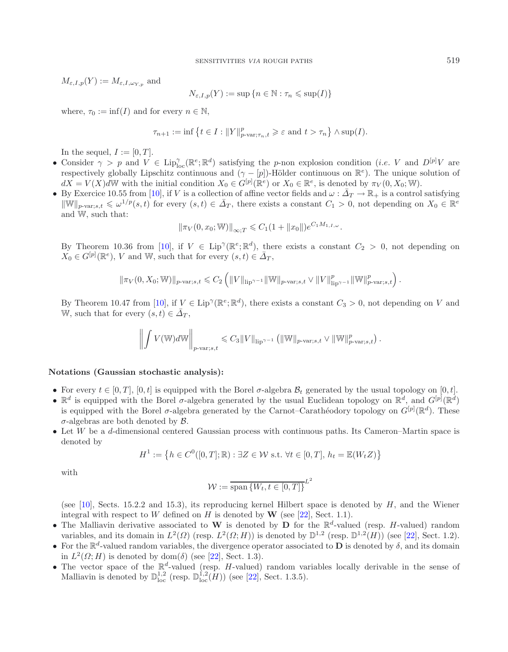$M_{\varepsilon,I,p}(Y) := M_{\varepsilon,I,\omega_{Y,p}}$  and

$$
N_{\varepsilon,I,p}(Y) := \sup\left\{n \in \mathbb{N} : \tau_n \leqslant \sup(I)\right\}
$$

where,  $\tau_0 := \inf(I)$  and for every  $n \in \mathbb{N}$ ,

$$
\tau_{n+1} := \inf \left\{ t \in I : \|Y\|_{p\text{-}\mathrm{var};\tau_n,t}^p \geqslant \varepsilon \text{ and } t > \tau_n \right\} \wedge \sup(I).
$$

In the sequel,  $I := [0, T]$ .

- Consider  $\gamma > p$  and  $V \in \text{Lip}_{\text{loc}}^{\gamma}(\mathbb{R}^e; \mathbb{R}^d)$  satisfying the p-non explosion condition (*i.e.* V and  $D^{[p]}V$  are respectively globally Lipschitz continuous and  $(\gamma - [p])$ -Hölder continuous on  $\mathbb{R}^e$ ). The unique solution of  $dX = V(X)dW$  with the initial condition  $X_0 \in G^{[p]}(\mathbb{R}^e)$  or  $X_0 \in \mathbb{R}^e$ , is denoted by  $\pi_V(0, X_0; W)$ .
- By Exercice 10.55 from [\[10](#page-28-9)], if V is a collection of affine vector fields and  $\omega : \bar{A}_T \to \mathbb{R}_+$  is a control satisfying  $\|\mathbb{W}\|_{p\text{-}\text{var};s,t} \leq \omega^{1/p}(s,t)$  for every  $(s,t) \in \bar{\Delta}_T$ , there exists a constant  $C_1 > 0$ , not depending on  $X_0 \in \mathbb{R}^d$ and W, such that:

$$
\|\pi_V(0, x_0; \mathbb{W})\|_{\infty,T} \leq C_1(1 + \|x_0\|)e^{C_1M_{1,I,\omega}}.
$$

By Theorem 10.36 from [\[10](#page-28-9)], if  $V \in Lip^{\gamma}(\mathbb{R}^e; \mathbb{R}^d)$ , there exists a constant  $C_2 > 0$ , not depending on  $X_0 \in G^{[p]}(\mathbb{R}^e)$ , V and W, such that for every  $(s, t) \in \overline{\Delta}_T$ ,

$$
\|\pi_V(0, X_0; \mathbb{W})\|_{p\text{-}\mathrm{var};s,t} \leq C_2 \left( \|V\|_{\mathrm{lip}^{\gamma-1}} \|\mathbb{W}\|_{p\text{-}\mathrm{var};s,t} \vee \|V\|_{\mathrm{lip}^{\gamma-1}}^p \|\mathbb{W}\|_{p\text{-}\mathrm{var};s,t}^p \right).
$$

By Theorem 10.47 from [\[10](#page-28-9)], if  $V \in Lip^{\gamma}(\mathbb{R}^e; \mathbb{R}^d)$ , there exists a constant  $C_3 > 0$ , not depending on V and W, such that for every  $(s, t) \in \overline{\Delta}_T$ ,

$$
\left\| \int V(\mathbb{W}) d\mathbb{W} \right\|_{p\text{-}\mathrm{var};s,t} \leqslant C_3 \|V\|_{\mathrm{lip}^{\gamma-1}} \left( \|\mathbb{W}\|_{p\text{-}\mathrm{var};s,t} \vee \|\mathbb{W}\|_{p\text{-}\mathrm{var};s,t}^p \right).
$$

### **Notations (Gaussian stochastic analysis):**

- For every  $t \in [0, T]$ ,  $[0, t]$  is equipped with the Borel  $\sigma$ -algebra  $\mathcal{B}_t$  generated by the usual topology on  $[0, t]$ .
- $\mathbb{R}^d$  is equipped with the Borel  $\sigma$ -algebra generated by the usual Euclidean topology on  $\mathbb{R}^d$ , and  $G^{[p]}(\mathbb{R}^d)$ is equipped with the Borel  $\sigma$ -algebra generated by the Carnot–Carathéodory topology on  $G^{[p]}(\mathbb{R}^d)$ . These  $\sigma$ -algebras are both denoted by  $\beta$ .
- Let W be a d-dimensional centered Gaussian process with continuous paths. Its Cameron–Martin space is denoted by

$$
H^{1} := \left\{ h \in C^{0}([0, T]; \mathbb{R}) : \exists Z \in \mathcal{W} \text{ s.t. } \forall t \in [0, T], h_{t} = \mathbb{E}(W_{t}Z) \right\}
$$

with

$$
\mathcal{W} := \overline{\text{span}\left\{W_t, t \in [0, T]\right\}}^{L^2}
$$

(see [\[10\]](#page-28-9), Sects. 15.2.2 and 15.3), its reproducing kernel Hilbert space is denoted by  $H$ , and the Wiener integral with respect to W defined on  $H$  is denoted by  $\mathbf{W}$  (see [\[22](#page-28-7)], Sect. 1.1).

- The Malliavin derivative associated to **W** is denoted by **D** for the  $\mathbb{R}^d$ -valued (resp. *H*-valued) random variables, and its domain in  $L^2(\Omega)$  (resp.  $L^2(\Omega; H)$ ) is denoted by  $\mathbb{D}^{1,2}$  (resp.  $\mathbb{D}^{1,2}(H)$ ) (see [\[22](#page-28-7)], Sect. 1.2).
- For the  $\mathbb{R}^d$ -valued random variables, the divergence operator associated to **D** is denoted by  $\delta$ , and its domain in  $L^2(\Omega; H)$  is denoted by dom( $\delta$ ) (see [\[22](#page-28-7)], Sect. 1.3).
- The vector space of the  $\mathbb{R}^d$ -valued (resp. H-valued) random variables locally derivable in the sense of Malliavin is denoted by  $\mathbb{D}^{1,2}_{loc}$  (resp.  $\mathbb{D}^{1,2}_{loc}(H)$ ) (see [\[22](#page-28-7)], Sect. 1.3.5).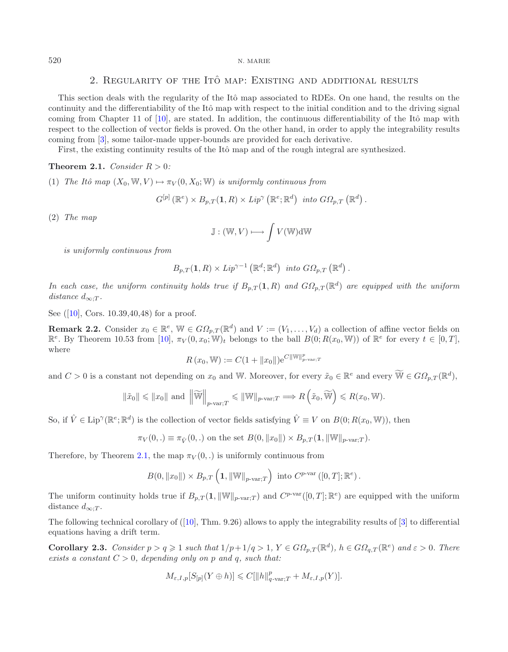# 2. REGULARITY OF THE ITO MAP: EXISTING AND ADDITIONAL RESULTS

This section deals with the regularity of the Itô map associated to RDEs. On one hand, the results on the continuity and the differentiability of the Itô map with respect to the initial condition and to the driving signal coming from Chapter 11 of  $[10]$ , are stated. In addition, the continuous differentiability of the Itô map with respect to the collection of vector fields is proved. On the other hand, in order to apply the integrability results coming from [\[3](#page-27-3)], some tailor-made upper-bounds are provided for each derivative.

First, the existing continuity results of the Itô map and of the rough integral are synthesized.

#### <span id="page-5-0"></span>**Theorem 2.1.** *Consider*  $R > 0$ *:*

(1) *The Itô map*  $(X_0, W, V) \mapsto \pi_V(0, X_0; W)$  *is uniformly continuous from* 

$$
G^{[p]}(\mathbb{R}^e) \times B_{p,T}(1,R) \times Lip^{\gamma}(\mathbb{R}^e; \mathbb{R}^d)
$$
 into  $GO_{p,T}(\mathbb{R}^d)$ .

(2) *The map*

$$
\mathbb{J}: (\mathbb{W}, V) \longmapsto \int V(\mathbb{W}) \mathrm{d} \mathbb{W}
$$

*is uniformly continuous from*

$$
B_{p,T}(1,R) \times Lip^{\gamma-1}(\mathbb{R}^d; \mathbb{R}^d)
$$
 into  $GO_{p,T}(\mathbb{R}^d)$ .

*In each case, the uniform continuity holds true if*  $B_{p,T}(1,R)$  *and*  $G\Omega_{p,T}(\mathbb{R}^d)$  *are equipped with the uniform distance*  $d_{\infty:T}$ *.* 

See ([\[10](#page-28-9)], Cors. 10.39,40,48) for a proof.

**Remark 2.2.** Consider  $x_0 \in \mathbb{R}^e$ ,  $\mathbb{W} \in G\Omega_{p,T}(\mathbb{R}^d)$  and  $V := (V_1, \ldots, V_d)$  a collection of affine vector fields on  $\mathbb{R}^e$ . By Theorem 10.53 from [\[10\]](#page-28-9),  $\pi_V(0, x_0; \mathbb{W})_t$  belongs to the ball  $B(0; R(x_0, \mathbb{W}))$  of  $\mathbb{R}^e$  for every  $t \in [0, T]$ , where

$$
R(x_0, W) := C(1 + ||x_0||)e^{C||W||_{p-var;T}^p}
$$

and  $C > 0$  is a constant not depending on  $x_0$  and W. Moreover, for every  $\tilde{x}_0 \in \mathbb{R}^e$  and every  $\widetilde{\mathbb{W}} \in G\Omega_n \cap (\mathbb{R}^d)$ ,

<span id="page-5-1"></span>
$$
\|\tilde{x}_0\| \leq \|x_0\| \text{ and } \left\|\widetilde{\mathbb{W}}\right\|_{p\text{-}\mathrm{var};T} \leq \|\mathbb{W}\|_{p\text{-}\mathrm{var};T} \Longrightarrow R\left(\tilde{x}_0,\widetilde{\mathbb{W}}\right) \leq R(x_0,\mathbb{W}).
$$

So, if  $\hat{V} \in \text{Lip}^{\gamma}(\mathbb{R}^e; \mathbb{R}^d)$  is the collection of vector fields satisfying  $\hat{V} \equiv V$  on  $B(0; R(x_0, \mathbb{W}))$ , then

$$
\pi_V(0,.) \equiv \pi_{\hat{V}}(0,.)
$$
 on the set  $B(0, ||x_0||) \times B_{p,T}(1, ||W||_{p-var;T}).$ 

Therefore, by Theorem [2.1,](#page-5-0) the map  $\pi_V(0,.)$  is uniformly continuous from

$$
B(0, \|x_0\|) \times B_{p,T}\left(1, \|\mathbb{W}\|_{p\text{-}\mathrm{var};T}\right) \text{ into } C^{p\text{-}\mathrm{var}}([0,T]; \mathbb{R}^e).
$$

The uniform continuity holds true if  $B_{p,T}(1, ||\mathbb{W}||_{p\text{-}\text{var};T})$  and  $C^{p\text{-}\text{var}}([0,T]; \mathbb{R}^e)$  are equipped with the uniform distance  $d_{\infty:T}$ .

The following technical corollary of  $([10], Thm. 9.26)$  $([10], Thm. 9.26)$  $([10], Thm. 9.26)$  allows to apply the integrability results of  $[3]$  $[3]$  to differential equations having a drift term.

**Corollary 2.3.** *Consider*  $p > q \geq 1$  *such that*  $1/p + 1/q > 1$ ,  $Y \in G\Omega_{p,T}(\mathbb{R}^d)$ ,  $h \in G\Omega_{q,T}(\mathbb{R}^e)$  and  $\varepsilon > 0$ . There *exists a constant*  $C > 0$ *, depending only on* p *and* q, *such that:* 

$$
M_{\varepsilon,I,p}[S_{[p]}(Y \oplus h)] \leqslant C[\|h\|_{q\text{-}\mathrm{var};T}^p + M_{\varepsilon,I,p}(Y)].
$$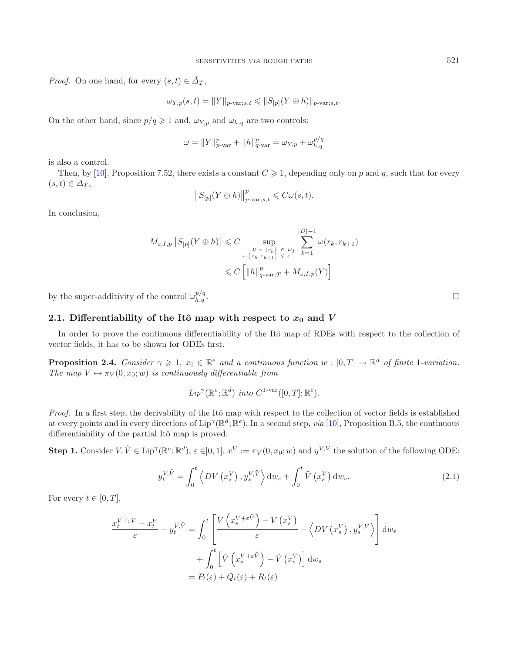*Proof.* On one hand, for every  $(s, t) \in \overline{\Delta}_T$ ,

$$
\omega_{Y,p}(s,t)=\|Y\|_{p\text{-}\mathrm{var};s,t}\leqslant \|S_{[p]}(Y\oplus h)\|_{p\text{-}\mathrm{var};s,t}.
$$

On the other hand, since  $p/q \geq 1$  and,  $\omega_{Y,p}$  and  $\omega_{h,q}$  are two controls:

$$
\omega = \|Y\|_{p\text{-var}}^p + \|h\|_{q\text{-var}}^p = \omega_{Y,p} + \omega_{h,q}^{p/q}
$$

is also a control.

Then, by [\[10\]](#page-28-9), Proposition 7.52, there exists a constant  $C \geq 1$ , depending only on p and q, such that for every  $(s, t) \in \bar{\Delta}_T$ ,

$$
||S_{[p]}(Y \oplus h)||_{p\text{-}\mathrm{var};s,t}^{p} \leq C\omega(s,t).
$$

In conclusion,

<span id="page-6-1"></span>
$$
M_{\varepsilon,I,p} \left[ S_{[p]}(Y \oplus h) \right] \leq C \sup_{\substack{D = \{r_k\} \\ \omega(r_k, r_{k+1}) \leq \varepsilon}} \sum_{\varepsilon = 1}^{|D|-1} \omega(r_k, r_{k+1})
$$
  

$$
\leq C \left[ ||h||_{q-\text{var};T}^p + M_{\varepsilon,I,p}(Y) \right]
$$

by the super-additivity of the control  $\omega_{h,a}^{p/q}$ .  $\mathbb{Z}_{h,q}^{p/q}$  .

# **2.1.** Differentiability of the Itô map with respect to  $x_0$  and  $V$

<span id="page-6-0"></span>In order to prove the continuous differentiability of the Itô map of RDEs with respect to the collection of vector fields, it has to be shown for ODEs first.

**Proposition 2.4.** *Consider*  $\gamma \geq 1$ ,  $x_0 \in \mathbb{R}^e$  and a continuous function  $w : [0, T] \to \mathbb{R}^d$  of finite 1-variation. *The map*  $V \mapsto \pi_V(0, x_0; w)$  *is continuously differentiable from* 

$$
Lip^{\gamma}(\mathbb{R}^e; \mathbb{R}^d)
$$
 into  $C^{1-var}([0, T]; \mathbb{R}^e)$ .

*Proof.* In a first step, the derivability of the Itô map with respect to the collection of vector fields is established at every points and in every directions of  $Lip^{\gamma}(\mathbb{R}^d;\mathbb{R}^e)$ . In a second step, *via* [\[10\]](#page-28-9), Proposition B.5, the continuous differentiability of the partial Itô map is proved.

**Step 1.** Consider  $V, \tilde{V} \in \text{Lip}^{\gamma}(\mathbb{R}^e; \mathbb{R}^d)$ ,  $\varepsilon \in ]0,1]$ ,  $x^V := \pi_V(0, x_0; w)$  and  $y^{V, \tilde{V}}$  the solution of the following ODE:

$$
y_t^{V,\tilde{V}} = \int_0^t \left\langle DV\left(x_s^V\right), y_s^{V,\tilde{V}} \right\rangle \mathrm{d}w_s + \int_0^t \tilde{V}\left(x_s^V\right) \mathrm{d}w_s. \tag{2.1}
$$

For every  $t \in [0, T]$ ,

$$
\frac{x_t^{V+\varepsilon \tilde{V}} - x_t^V}{\varepsilon} - y_t^{V, \tilde{V}} = \int_0^t \left[ \frac{V\left(x_s^{V+\varepsilon \tilde{V}}\right) - V\left(x_s^V\right)}{\varepsilon} - \left\langle DV\left(x_s^V\right), y_s^{V, \tilde{V}} \right\rangle \right] dw_s
$$

$$
+ \int_0^t \left[ \tilde{V}\left(x_s^{V+\varepsilon \tilde{V}}\right) - \tilde{V}\left(x_s^V\right) \right] dw_s
$$

$$
= P_t(\varepsilon) + Q_t(\varepsilon) + R_t(\varepsilon)
$$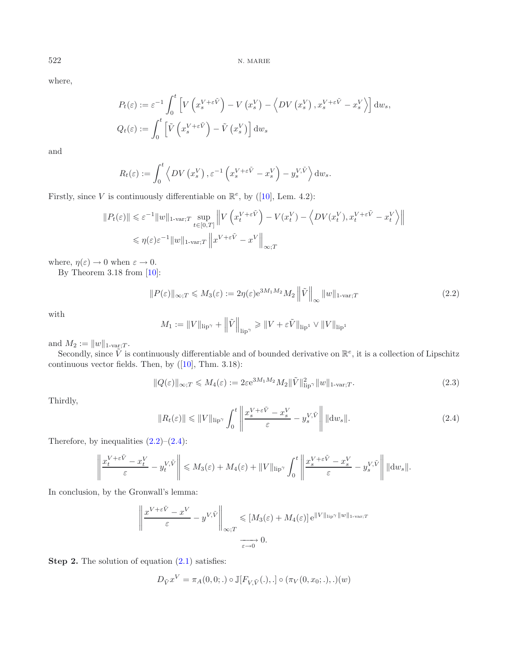where,

$$
P_t(\varepsilon) := \varepsilon^{-1} \int_0^t \left[ V\left(x_s^{V+\varepsilon \tilde{V}}\right) - V\left(x_s^{V}\right) - \left\langle DV\left(x_s^{V}\right), x_s^{V+\varepsilon \tilde{V}} - x_s^{V}\right\rangle \right] dw_s,
$$
  

$$
Q_t(\varepsilon) := \int_0^t \left[ \tilde{V}\left(x_s^{V+\varepsilon \tilde{V}}\right) - \tilde{V}\left(x_s^{V}\right) \right] dw_s
$$

and

<span id="page-7-0"></span>
$$
R_t(\varepsilon) := \int_0^t \left\langle DV(x_s^V), \varepsilon^{-1} \left( x_s^{V + \varepsilon \tilde{V}} - x_s^V \right) - y_s^{V, \tilde{V}} \right\rangle dw_s.
$$

Firstly, since V is continuously differentiable on  $\mathbb{R}^e$ , by ([\[10](#page-28-9)], Lem. 4.2):

$$
||P_t(\varepsilon)|| \leq \varepsilon^{-1} ||w||_{1-\text{var};T} \sup_{t \in [0,T]} \left\| V\left(x_t^{V+\varepsilon \tilde{V}}\right) - V(x_t^V) - \left\langle DV(x_t^V), x_t^{V+\varepsilon \tilde{V}} - x_t^V \right\rangle \right\|
$$
  

$$
\leq \eta(\varepsilon) \varepsilon^{-1} ||w||_{1-\text{var};T} \left\| x^{V+\varepsilon \tilde{V}} - x^V \right\|_{\infty;T}
$$

<span id="page-7-1"></span>where,  $\eta(\varepsilon) \to 0$  when  $\varepsilon \to 0$ .

By Theorem 3.18 from [\[10](#page-28-9)]:

$$
||P(\varepsilon)||_{\infty;T} \le M_3(\varepsilon) := 2\eta(\varepsilon) e^{3M_1M_2} M_2 ||\tilde{V}||_{\infty} ||w||_{1\text{-var};T}
$$
\n(2.2)

with

$$
M_1 := ||V||_{\text{lip}^{\gamma}} + \left\|\tilde{V}\right\|_{\text{lip}^{\gamma}} \geq ||V + \varepsilon \tilde{V}||_{\text{lip}^1} \vee ||V||_{\text{lip}^1}
$$

and  $M_2 := ||w||_{1\text{-var};T}$ .

Secondly, since  $\tilde{V}$  is continuously differentiable and of bounded derivative on  $\mathbb{R}^e$ , it is a collection of Lipschitz continuous vector fields. Then, by  $([10]$  $([10]$  $([10]$ , Thm. 3.18):

$$
||Q(\varepsilon)||_{\infty;T} \leqslant M_4(\varepsilon) := 2\varepsilon e^{3M_1M_2} M_2 ||\tilde{V}||_{\text{lip}^{\gamma}}^2 ||w||_{1\text{-var};T}.
$$
\n(2.3)

Thirdly,

$$
||R_t(\varepsilon)|| \le ||V||_{\text{lip}^{\gamma}} \int_0^t \left\| \frac{x_s^{V+\varepsilon \tilde{V}} - x_s^V}{\varepsilon} - y_s^{V, \tilde{V}} \right\| ||\mathrm{d}w_s||. \tag{2.4}
$$

Therefore, by inequalities  $(2.2)$ – $(2.4)$ :

$$
\left\|\frac{x_t^{V+\varepsilon \tilde{V}}-x_t^V}{\varepsilon}-y_t^{V,\tilde{V}}\right\|\leqslant M_3(\varepsilon)+M_4(\varepsilon)+\|V\|_{\text{lip}^{\gamma}}\int_0^t\left\|\frac{x_s^{V+\varepsilon \tilde{V}}-x_s^V}{\varepsilon}-y_s^{V,\tilde{V}}\right\|\|\mathrm{d} w_s\|.
$$

In conclusion, by the Gronwall's lemma:

$$
\left\| \frac{x^{V+\varepsilon \tilde{V}} - x^V}{\varepsilon} - y^{V,\tilde{V}} \right\|_{\infty;T} \leqslant [M_3(\varepsilon) + M_4(\varepsilon)] e^{\|V\|_{\text{lip}^{\gamma}} \|w\|_{1-\text{var};T}}
$$
  

$$
\xrightarrow[\varepsilon \to 0]{} 0.
$$

**Step 2.** The solution of equation  $(2.1)$  satisfies:

$$
D_{\tilde{V}}x^V = \pi_A(0,0;.) \circ \mathbb{J}[F_{V,\tilde{V}}(.),.]\circ (\pi_V(0,x_0;.),.) (w)
$$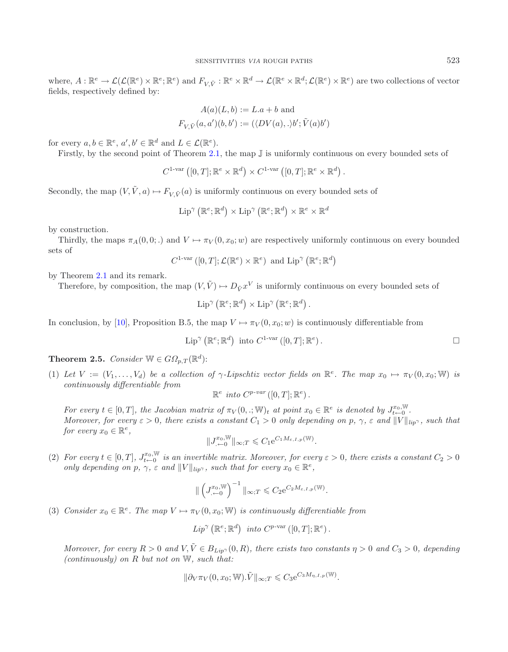where,  $A: \mathbb{R}^e \to \mathcal{L}(\mathcal{L}(\mathbb{R}^e) \times \mathbb{R}^e; \mathbb{R}^e)$  and  $F_{V\tilde{V}}: \mathbb{R}^e \times \mathbb{R}^d \to \mathcal{L}(\mathbb{R}^e \times \mathbb{R}^d; \mathcal{L}(\mathbb{R}^e) \times \mathbb{R}^e)$  are two collections of vector fields, respectively defined by:

$$
A(a)(L, b) := L.a + b \text{ and}
$$
  

$$
F_{V, \tilde{V}}(a, a')(b, b') := (\langle DV(a), . \rangle b'; \tilde{V}(a)b')
$$

for every  $a, b \in \mathbb{R}^e$ ,  $a', b' \in \mathbb{R}^d$  and  $L \in \mathcal{L}(\mathbb{R}^e)$ .

Firstly, by the second point of Theorem [2.1,](#page-5-0) the map J is uniformly continuous on every bounded sets of

 $C^{1\text{-var}}([0,T];\mathbb{R}^e \times \mathbb{R}^d) \times C^{1\text{-var}}([0,T];\mathbb{R}^e \times \mathbb{R}^d).$ 

Secondly, the map  $(V, \tilde{V}, a) \mapsto F_{V, \tilde{V}}(a)$  is uniformly continuous on every bounded sets of

$$
\operatorname{Lip}^{\gamma}\left(\mathbb{R}^{e};\mathbb{R}^{d}\right)\times \operatorname{Lip}^{\gamma}\left(\mathbb{R}^{e};\mathbb{R}^{d}\right)\times \mathbb{R}^{e}\times \mathbb{R}^{d}
$$

by construction.

Thirdly, the maps  $\pi_A(0, 0;.)$  and  $V \mapsto \pi_V(0, x_0; w)$  are respectively uniformly continuous on every bounded sets of

$$
C^{1-var} ([0, T]; \mathcal{L}(\mathbb{R}^e) \times \mathbb{R}^e)
$$
 and  $\text{Lip}^{\gamma} (\mathbb{R}^e; \mathbb{R}^d)$ 

by Theorem [2.1](#page-5-0) and its remark.

Therefore, by composition, the map  $(V, \tilde{V}) \mapsto D_{\tilde{V}} x^V$  is uniformly continuous on every bounded sets of

$$
\mathrm{Lip}^{\gamma}\left(\mathbb{R}^{e};\mathbb{R}^{d}\right) \times \mathrm{Lip}^{\gamma}\left(\mathbb{R}^{e};\mathbb{R}^{d}\right).
$$

In conclusion, by [\[10\]](#page-28-9), Proposition B.5, the map  $V \mapsto \pi_V(0, x_0; w)$  is continuously differentiable from

$$
\text{Lip}^{\gamma}(\mathbb{R}^e; \mathbb{R}^d) \text{ into } C^{1-\text{var}}([0,T]; \mathbb{R}^e).
$$

<span id="page-8-0"></span>**Theorem 2.5.** *Consider*  $\mathbb{W} \in G\Omega_{p,T}(\mathbb{R}^d)$ :

(1) Let  $V := (V_1, \ldots, V_d)$  be a collection of  $\gamma$ -Lipschtiz vector fields on  $\mathbb{R}^e$ . The map  $x_0 \mapsto \pi_V(0, x_0; \mathbb{W})$  is *continuously differentiable from*

$$
\mathbb{R}^e \text{ into } C^{p-var}([0,T]; \mathbb{R}^e).
$$

*For every*  $t \in [0, T]$ , the Jacobian matrix of  $\pi_V(0, .; \mathbb{W})_t$  at point  $x_0 \in \mathbb{R}^e$  *is denoted by*  $J_{t \leftarrow 0}^{x_0, \mathbb{W}}$ . *Moreover, for every*  $\varepsilon > 0$ *, there exists a constant*  $C_1 > 0$  *only depending on*  $p, \gamma, \varepsilon$  *and*  $||V||_{lip\gamma}$ *, such that for every*  $x_0 \in \mathbb{R}^e$ ,

$$
||J^{x_0,{\mathbb{W}}}_{\leftarrow 0}||_{\infty;T}\leqslant C_1e^{C_1M_{\varepsilon,I,p}({\mathbb{W}})}.
$$

(2) For every  $t \in [0,T]$ ,  $J_{t\leftarrow 0}^{x_0,\mathbb{W}}$  is an invertible matrix. Moreover, for every  $\varepsilon > 0$ , there exists a constant  $C_2 > 0$ *only depending on*  $p, \gamma, \varepsilon$  *and*  $||V||_{lip^{\gamma}}$ *, such that for every*  $x_0 \in \mathbb{R}^e$ *,* 

$$
\|\left(J^{x_0,{\mathbb W}}_{\leftarrow 0}\right)^{-1}\|_{\infty;T}\leqslant C_2\mathrm{e}^{C_2M_{\varepsilon,I,p}({\mathbb W})}.
$$

(3) *Consider*  $x_0 \in \mathbb{R}^e$ . The map  $V \mapsto \pi_V(0, x_0; \mathbb{W})$  *is continuously differentiable from* 

$$
Lip^{\gamma}(\mathbb{R}^e; \mathbb{R}^d)
$$
 into  $C^{p\text{-var}}([0,T]; \mathbb{R}^e)$ .

*Moreover, for every*  $R > 0$  *and*  $V, \tilde{V} \in B_{Lip}(0,R)$ *, there exists two constants*  $\eta > 0$  *and*  $C_3 > 0$ *, depending (continuously) on* R *but not on* W*, such that:*

$$
\|\partial_V \pi_V(0, x_0; \mathbb{W}).\tilde{V}\|_{\infty;T} \leqslant C_3 e^{C_3 M_{\eta, I, p}(\mathbb{W})}.
$$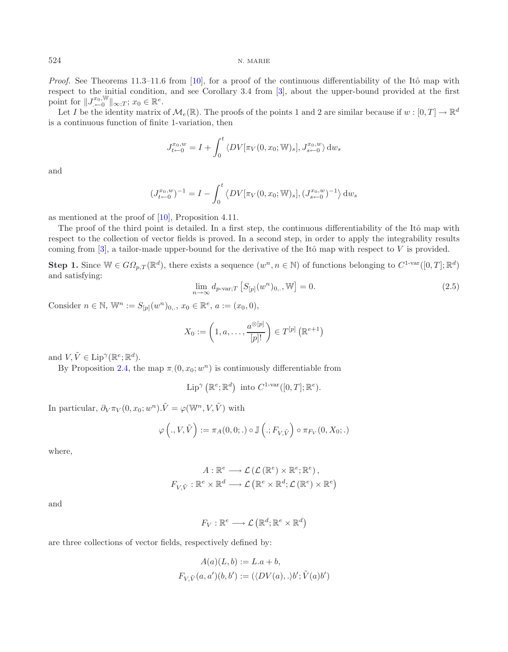*Proof.* See Theorems 11.3–11.6 from [\[10\]](#page-28-9), for a proof of the continuous differentiability of the Itô map with respect to the initial condition, and see Corollary 3.4 from [\[3](#page-27-3)], about the upper-bound provided at the first point for  $||J^{x_0,\mathbb{W}}_{\leftarrow 0}||_{\infty;T}; x_0 \in \mathbb{R}^e$ .

Let I be the identity matrix of  $\mathcal{M}_e(\mathbb{R})$ . The proofs of the points 1 and 2 are similar because if  $w : [0, T] \to \mathbb{R}^d$ is a continuous function of finite 1-variation, then

$$
J_{t \leftarrow 0}^{x_0, w} = I + \int_0^t \langle DV[\pi_V(0, x_0; \mathbb{W})_s], J_{s \leftarrow 0}^{x_0, w} \rangle dw_s
$$

<span id="page-9-0"></span>and

$$
(J_{t-0}^{x_0,w})^{-1} = I - \int_0^t \left\langle DV[\pi_V(0,x_0;\mathbb{W})_s], (J_{s-0}^{x_0,w})^{-1} \right\rangle dw_s
$$

as mentioned at the proof of [\[10\]](#page-28-9), Proposition 4.11.

The proof of the third point is detailed. In a first step, the continuous differentiability of the Itô map with respect to the collection of vector fields is proved. In a second step, in order to apply the integrability results coming from  $[3]$  $[3]$ , a tailor-made upper-bound for the derivative of the Itô map with respect to V is provided.

**Step 1.** Since  $\mathbb{W} \in G\Omega_{p,T}(\mathbb{R}^d)$ , there exists a sequence  $(w^n, n \in \mathbb{N})$  of functions belonging to  $C^{1-\text{var}}([0,T]; \mathbb{R}^d)$ and satisfying:

$$
\lim_{n \to \infty} d_{p\text{-var};T} \left[ S_{[p]}(w^n)_{0,\dots} \mathbb{W} \right] = 0. \tag{2.5}
$$

Consider  $n \in \mathbb{N}$ ,  $\mathbb{W}^n := S_{[p]}(w^n)_{0...}, x_0 \in \mathbb{R}^e$ ,  $a := (x_0, 0)$ ,

$$
X_0 := \left(1, a, \ldots, \frac{a^{\otimes [p]}}{[p]!}\right) \in T^{[p]} \left(\mathbb{R}^{e+1}\right)
$$

and  $V, \tilde{V} \in \text{Lip}^{\gamma}(\mathbb{R}^e; \mathbb{R}^d)$ .

By Proposition [2.4,](#page-6-1) the map  $\pi(0, x_0; w^n)$  is continuously differentiable from

Lip<sup> $\gamma$ </sup> ( $\mathbb{R}^e$ ;  $\mathbb{R}^d$ ) into  $C^{1-\text{var}}([0,T]; \mathbb{R}^e)$ .

In particular,  $\partial_V \pi_V(0, x_0; w^n)$ .  $\tilde{V} = \varphi(\mathbb{W}^n, V, \tilde{V})$  with

$$
\varphi\left(.,V,\tilde{V}\right):=\pi_A(0,0;.)\circ\mathbb{J}\left(.;F_{V,\tilde{V}}\right)\circ\pi_{F_V}(0,X_0;.)
$$

where,

$$
A: \mathbb{R}^e \longrightarrow \mathcal{L}(\mathcal{L}(\mathbb{R}^e) \times \mathbb{R}^e; \mathbb{R}^e),
$$
  

$$
F_{V,\tilde{V}}: \mathbb{R}^e \times \mathbb{R}^d \longrightarrow \mathcal{L}(\mathbb{R}^e \times \mathbb{R}^d; \mathcal{L}(\mathbb{R}^e) \times \mathbb{R}^e)
$$

and

 $F_V: \mathbb{R}^e \longrightarrow \mathcal{L}(\mathbb{R}^d; \mathbb{R}^e \times \mathbb{R}^d)$ 

are three collections of vector fields, respectively defined by:

$$
A(a)(L, b) := L.a + b,
$$
  

$$
F_{V, \tilde{V}}(a, a')(b, b') := (\langle DV(a), . \rangle b'; \tilde{V}(a)b')
$$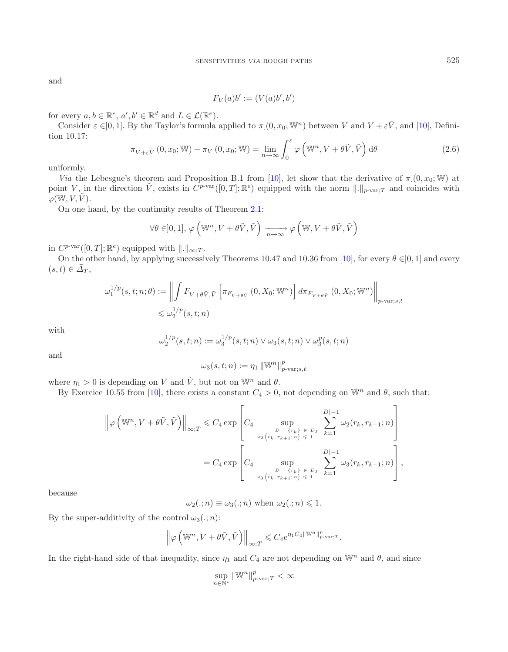<span id="page-10-0"></span>and

$$
F_V(a)b' := (V(a)b', b')
$$

for every  $a, b \in \mathbb{R}^e$ ,  $a', b' \in \mathbb{R}^d$  and  $L \in \mathcal{L}(\mathbb{R}^e)$ .

Consider  $\varepsilon \in ]0,1]$ . By the Taylor's formula applied to  $\pi(0, x_0; W^n)$  between V and  $V + \varepsilon V$ , and [\[10\]](#page-28-9), Definition 10.17:

$$
\pi_{V+\varepsilon\tilde{V}}(0,x_0;\mathbb{W}) - \pi_V(0,x_0;\mathbb{W}) = \lim_{n \to \infty} \int_0^{\varepsilon} \varphi\left(\mathbb{W}^n, V + \theta\tilde{V}, \tilde{V}\right) d\theta \tag{2.6}
$$

uniformly.

*Via* the Lebesgue's theorem and Proposition B.1 from [\[10\]](#page-28-9), let show that the derivative of  $\pi(0, x_0; W)$  at point V, in the direction  $\tilde{V}$ , exists in  $C^{p-var}([0,T]; \mathbb{R}^e)$  equipped with the norm  $\|.\|_{p-var;T}$  and coincides with  $\varphi({\mathbb W},V,\tilde{V}).$ 

On one hand, by the continuity results of Theorem [2.1:](#page-5-0)

$$
\forall \theta \in ]0,1],\, \varphi\left(\mathbb{W}^n, V+\theta \tilde{V}, \tilde{V}\right) \xrightarrow[n\to\infty]{} \varphi\left(\mathbb{W}, V+\theta \tilde{V}, \tilde{V}\right)
$$

in  $C^{p\text{-}\mathrm{var}}([0,T];\mathbb{R}^e)$  equipped with  $\|.\|_{\infty:T}$ .

On the other hand, by applying successively Theorems 10.47 and 10.36 from [\[10](#page-28-9)], for every  $\theta \in ]0,1]$  and every  $(s, t) \in \overline{\Delta}_T$ ,

$$
\omega_1^{1/p}(s,t;n;\theta) := \left\| \int F_{V+\theta \tilde{V},\tilde{V}} \left[ \pi_{F_{V+\theta \tilde{V}}} (0,X_0; \mathbb{W}^n) \right] d\pi_{F_{V+\theta \tilde{V}}} (0,X_0; \mathbb{W}^n) \right\|_{p\text{-var};s,t}
$$
  
\$\leqslant \omega\_2^{1/p}(s,t;n)\$

with

$$
\omega_2^{1/p}(s,t;n) := \omega_3^{1/p}(s,t;n) \vee \omega_3(s,t;n) \vee \omega_3^p(s,t;n)
$$

and

$$
\omega_3(s,t;n):=\eta_1\,\|\mathbb{W}^n\|_{p\text{-}\mathrm{var};s,t}^p
$$

where  $\eta_1 > 0$  is depending on V and  $\tilde{V}$ , but not on  $\mathbb{W}^n$  and  $\theta$ .

By Exercice 10.55 from [\[10\]](#page-28-9), there exists a constant  $C_4 > 0$ , not depending on  $\mathbb{W}^n$  and  $\theta$ , such that:

$$
\left\|\varphi\left(\mathbb{W}^n, V+\theta\tilde{V}, \tilde{V}\right)\right\|_{\infty; T} \leq C_4 \exp\left[C_4 \sup_{\substack{D = \{r_k\} \\ \omega_2(r_k, r_{k+1}:n) \leq 1}} \sum_{\xi=1}^{|D|-1} \omega_2(r_k, r_{k+1}:n)\right]
$$

$$
= C_4 \exp\left[C_4 \sup_{\substack{D = \{r_k\} \\ \omega_3(r_k, r_{k+1}:n) \leq 1}} \sum_{\xi=1}^{|D|-1} \omega_3(r_k, r_{k+1}:n)\right],
$$

because

 $\omega_2(.; n) \equiv \omega_3(.; n)$  when  $\omega_2(.; n) \leq 1$ .

By the super-additivity of the control  $\omega_3(.; n)$ :

$$
\left\|\varphi\left(\mathbb{W}^n, V+\theta \tilde{V}, \tilde{V}\right)\right\|_{\infty; T} \leqslant C_4 e^{\eta_1 C_4 \left\|\mathbb{W}^n\right\|_{p\text{-}\mathrm{var}; T}^p}.
$$

In the right-hand side of that inequality, since  $\eta_1$  and  $C_4$  are not depending on  $\mathbb{W}^n$  and  $\theta$ , and since

$$
\sup_{n\in\mathbb{N}^*}\left\|\mathbb{W}^n\right\|_{p\text{-}\mathrm{var};T}^p<\infty
$$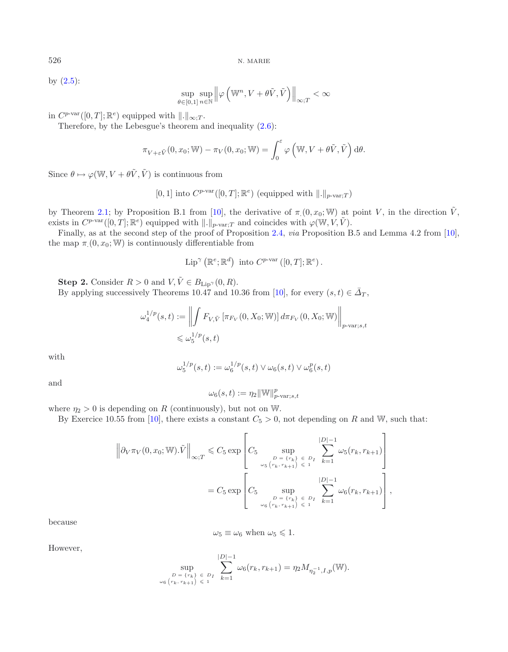by  $(2.5)$ :

$$
\sup_{\theta \in [0,1]} \sup_{n \in \mathbb{N}} \left\| \varphi \left( \mathbb{W}^n, V + \theta \tilde{V}, \tilde{V} \right) \right\|_{\infty; T} < \infty
$$

in  $C^{p\text{-}\mathrm{var}}([0,T];\mathbb{R}^e)$  equipped with  $\|.\|_{\infty;T}$ .

Therefore, by the Lebesgue's theorem and inequality [\(2.6\)](#page-10-0):

$$
\pi_{V+\varepsilon\tilde{V}}(0,x_0;\mathbb{W}) - \pi_V(0,x_0;\mathbb{W}) = \int_0^\varepsilon \varphi\left(\mathbb{W},V+\theta\tilde{V},\tilde{V}\right) d\theta.
$$

Since  $\theta \mapsto \varphi(\mathbb{W}, V + \theta \tilde{V}, \tilde{V})$  is continuous from

[0, 1] into 
$$
C^{p\text{-var}}([0, T]; \mathbb{R}^e)
$$
 (equipped with  $||.||_{p\text{-var};T})$ 

by Theorem [2.1;](#page-5-0) by Proposition B.1 from [\[10](#page-28-9)], the derivative of  $\pi(0, x_0; W)$  at point V, in the direction  $\tilde{V}$ , exists in  $C^{p\text{-}\mathrm{var}}([0,T];\mathbb{R}^e)$  equipped with  $\|.\|_{p\text{-}\mathrm{var};T}$  and coincides with  $\varphi(\mathbb{W},V,\tilde{V})$ .

Finally, as at the second step of the proof of Proposition [2.4,](#page-6-1) *via* Proposition B.5 and Lemma 4.2 from [\[10](#page-28-9)], the map  $\pi(0, x_0; W)$  is continuously differentiable from

$$
\text{Lip}^{\gamma}(\mathbb{R}^e; \mathbb{R}^d) \text{ into } C^{p\text{-var}}([0,T]; \mathbb{R}^e).
$$

**Step 2.** Consider  $R > 0$  and  $V, \tilde{V} \in B_{\text{Lip}}(0, R)$ .

By applying successively Theorems 10.47 and 10.36 from [\[10](#page-28-9)], for every  $(s, t) \in \overline{\Delta}_T$ ,

$$
\omega_4^{1/p}(s,t) := \left\| \int F_{V,\tilde{V}} \left[ \pi_{F_V}(0, X_0; \mathbb{W}) \right] d\pi_{F_V}(0, X_0; \mathbb{W}) \right\|_{p\text{-var};s,t}
$$
  
\$\leq \omega\_5^{1/p}(s,t)\$

with

$$
\omega_5^{1/p}(s,t) := \omega_6^{1/p}(s,t) \vee \omega_6(s,t) \vee \omega_6^p(s,t)
$$

and

$$
\omega_6(s,t) := \eta_2 \|\mathbb{W}\|_{p\text{-}\mathrm{var};s,t}^p
$$

where  $\eta_2 > 0$  is depending on R (continuously), but not on W.

By Exercice 10.55 from [\[10\]](#page-28-9), there exists a constant  $C_5 > 0$ , not depending on R and W, such that:  $\overline{a}$ 

$$
\left\| \partial_V \pi_V(0, x_0; \mathbb{W}).\tilde{V} \right\|_{\infty; T} \leq C_5 \exp \left[ C_5 \sup_{\substack{D = \{r_k\} \\ \omega_5(r_k, r_{k+1}) \leq 1}} \sum_{\substack{k=1 \\ r_{k+1} \leq 1}}^{|D|-1} \omega_5(r_k, r_{k+1}) \right]
$$

$$
= C_5 \exp \left[ C_5 \sup_{\substack{D = \{r_k\} \\ \omega_6(r_k, r_{k+1}) \leq 1}} \sum_{\substack{k=1 \\ k=1}}^{|D|-1} \omega_6(r_k, r_{k+1}) \right],
$$

because

$$
\omega_5 \equiv \omega_6 \text{ when } \omega_5 \leq 1.
$$

However,

$$
\sup_{\substack{D = \{r_k\} \\ \omega_6 \{r_k, r_{k+1}\} \leq 1}} \sum_{k=1}^{|D|-1} \omega_6(r_k, r_{k+1}) = \eta_2 M_{\eta_2^{-1}, I, p}(\mathbb{W}).
$$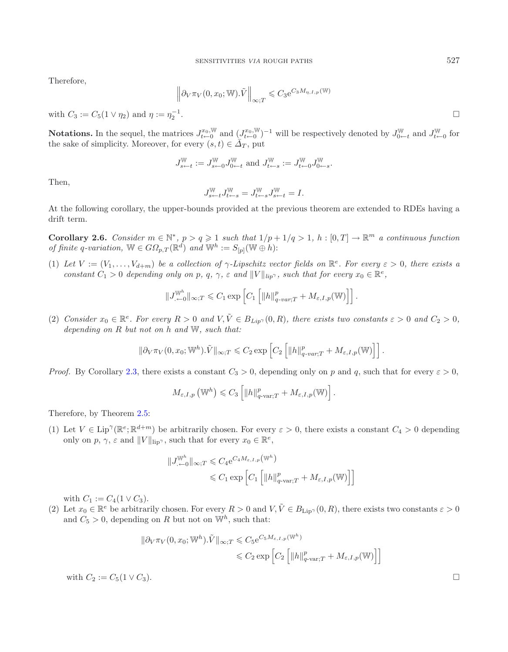Therefore,

$$
\left\|\partial_V \pi_V(0, x_0; \mathbb{W}).\tilde{V}\right\|_{\infty;T} \leqslant C_3 e^{C_3 M_{\eta, I, p}(\mathbb{W})}
$$

with  $C_3 := C_5(1 \vee \eta_2)$  and  $\eta := \eta_2^{-1}$ .  $\frac{-1}{2}$ .

**Notations.** In the sequel, the matrices  $J_{t-0}^{x_0, \mathbb{W}}$  and  $(J_{t-0}^{x_0, \mathbb{W}})^{-1}$  will be respectively denoted by  $J_{0-t}^{\mathbb{W}}$  and  $J_{t-0}^{\mathbb{W}}$  for the sake of simplicity. Moreover, for every  $(s, t) \in \overline{\Delta}_T$ , put

$$
J_{s\leftarrow t}^{\mathbb{W}}:=J_{s\leftarrow 0}^{\mathbb{W}}J_{0\leftarrow t}^{\mathbb{W}}\text{ and }J_{t\leftarrow s}^{\mathbb{W}}:=J_{t\leftarrow 0}^{\mathbb{W}}J_{0\leftarrow s}^{\mathbb{W}}.
$$

Then,

$$
J_{s\leftarrow t}^{\mathbb{W}}J_{t\leftarrow s}^{\mathbb{W}}=J_{t\leftarrow s}^{\mathbb{W}}J_{s\leftarrow t}^{\mathbb{W}}=I.
$$

<span id="page-12-0"></span>At the following corollary, the upper-bounds provided at the previous theorem are extended to RDEs having a drift term.

**Corollary 2.6.** *Consider*  $m \in \mathbb{N}^*$ ,  $p > q \geq 1$  *such that*  $1/p + 1/q > 1$ ,  $h : [0, T] \to \mathbb{R}^m$  *a continuous function of finite* q-variation,  $\mathbb{W} \in G\Omega_{p,T}(\mathbb{R}^d)$  and  $\mathbb{W}^h := S_{[p]}(\mathbb{W} \oplus h)$ :

(1) Let  $V := (V_1, \ldots, V_{d+m})$  be a collection of  $\gamma$ -Lipschitz vector fields on  $\mathbb{R}^e$ . For every  $\varepsilon > 0$ , there exists a *constant*  $C_1 > 0$  *depending only on* p, q,  $\gamma$ ,  $\varepsilon$  *and*  $||V||_{lip}$ , *such that for every*  $x_0 \in \mathbb{R}^e$ ,

$$
\|J^{\mathbb{W}^h}_{\leftarrow 0}\|_{\infty,T} \leq C_1 \exp\left[C_1\left[\|h\|_{q-var;T}^p + M_{\varepsilon,I,p}(\mathbb{W})\right]\right].
$$

(2) *Consider*  $x_0 \in \mathbb{R}^e$ . For every  $R > 0$  and  $V, \tilde{V} \in B_{Lip}$ <sup> $\gamma$ </sup> $(0, R)$ , there exists two constants  $\varepsilon > 0$  and  $C_2 > 0$ , *depending on* R *but not on* h *and* W*, such that:*

$$
\|\partial_V \pi_V(0, x_0; \mathbb{W}^h).\tilde{V}\|_{\infty,T} \leqslant C_2 \exp\left[C_2 \left[ \|h\|_{q-var;T}^p + M_{\varepsilon,I,p}(\mathbb{W})\right] \right].
$$

*Proof.* By Corollary [2.3,](#page-5-1) there exists a constant  $C_3 > 0$ , depending only on p and q, such that for every  $\varepsilon > 0$ ,

$$
M_{\varepsilon,I,p}(\mathbb{W}^h) \leqslant C_3 \left[ \|h\|_{q\text{-}\mathrm{var};T}^p + M_{\varepsilon,I,p}(\mathbb{W}) \right].
$$

Therefore, by Theorem [2.5:](#page-8-0)

(1) Let  $V \in Lip^{\gamma}(\mathbb{R}^e; \mathbb{R}^{d+m})$  be arbitrarily chosen. For every  $\varepsilon > 0$ , there exists a constant  $C_4 > 0$  depending only on p,  $\gamma$ ,  $\varepsilon$  and  $||V||_{\text{lip}\gamma}$ , such that for every  $x_0 \in \mathbb{R}^e$ ,

$$
||J_{\leftarrow 0}^{\mathbb{W}^h}||_{\infty;T} \leq C_4 e^{C_4 M_{\varepsilon,I,p}(\mathbb{W}^h)}
$$
  

$$
\leq C_1 \exp \left[ C_1 \left[ ||h||_{q\text{-}\vartheta;T}^p + M_{\varepsilon,I,p}(\mathbb{W}) \right] \right]
$$

with  $C_1 := C_4(1 \vee C_3)$ .

(2) Let  $x_0 \in \mathbb{R}^e$  be arbitrarily chosen. For every  $R > 0$  and  $V, \tilde{V} \in B_{\text{Lip}}(0,R)$ , there exists two constants  $\varepsilon > 0$ and  $C_5 > 0$ , depending on R but not on  $\mathbb{W}^h$ , such that:

$$
\|\partial_V \pi_V(0, x_0; \mathbb{W}^h).\tilde{V}\|_{\infty;T} \leqslant C_5 e^{C_5 M_{\varepsilon, I, p}(\mathbb{W}^h)}
$$
  

$$
\leqslant C_2 \exp\left[C_2 \left[ \|h\|_{q\text{-}\mathrm{var};T}^p + M_{\varepsilon, I, p}(\mathbb{W})\right] \right]
$$

with  $C_2 := C_5(1 \vee C_3)$ .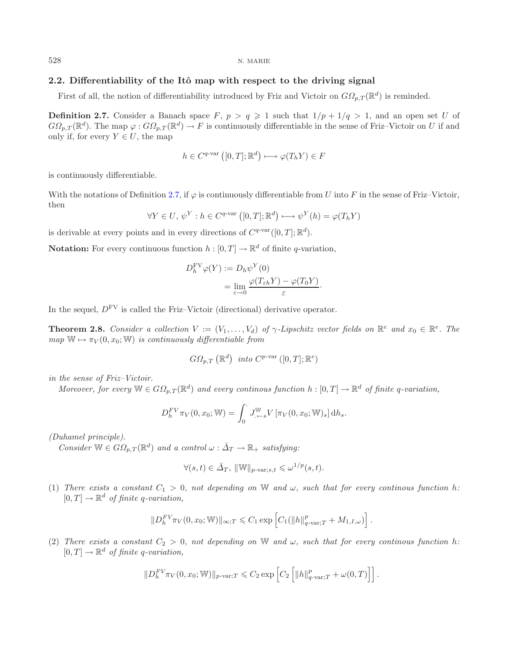## <span id="page-13-0"></span>**2.2.** Differentiability of the Itô map with respect to the driving signal

First of all, the notion of differentiability introduced by Friz and Victoir on  $G\Omega_{p,T}(\mathbb{R}^d)$  is reminded.

**Definition 2.7.** Consider a Banach space  $F, p > q \ge 1$  such that  $1/p + 1/q > 1$ , and an open set U of  $G\Omega_{p,T}(\mathbb{R}^d)$ . The map  $\varphi: G\Omega_{p,T}(\mathbb{R}^d) \to F$  is continuously differentiable in the sense of Friz–Victoir on U if and only if, for every  $Y \in U$ , the map

$$
h \in C^{q\text{-var}}([0,T];\mathbb{R}^d) \longmapsto \varphi(T_h Y) \in F
$$

is continuously differentiable.

With the notations of Definition [2.7,](#page-13-0) if  $\varphi$  is continuously differentiable from U into F in the sense of Friz–Victoir, then

$$
\forall Y \in U, \, \psi^Y : h \in C^{q\text{-var}}([0,T]; \mathbb{R}^d) \longmapsto \psi^Y(h) = \varphi(T_h Y)
$$

is derivable at every points and in every directions of  $C^{q\text{-}\mathrm{var}}([0,T]; \mathbb{R}^d)$ .

**Notation:** For every continuous function  $h : [0, T] \to \mathbb{R}^d$  of finite q-variation,

$$
D_h^{\text{FV}} \varphi(Y) := D_h \psi^Y(0)
$$
  
= 
$$
\lim_{\varepsilon \to 0} \frac{\varphi(T_{\varepsilon h} Y) - \varphi(T_0 Y)}{\varepsilon}.
$$

<span id="page-13-1"></span>In the sequel,  $D^{FV}$  is called the Friz–Victoir (directional) derivative operator.

**Theorem 2.8.** *Consider a collection*  $V := (V_1, \ldots, V_d)$  *of*  $\gamma$ -Lipschitz vector fields on  $\mathbb{R}^e$  and  $x_0 \in \mathbb{R}^e$ . The  $map \, \mathbb{W} \mapsto \pi_V(0, x_0; \mathbb{W})$  *is continuously differentiable from* 

$$
G\Omega_{p,T}\left(\mathbb{R}^d\right) \text{ into } C^{p\text{-var}}\left([0,T];\mathbb{R}^e\right)
$$

*in the sense of Friz–Victoir.*

*Moreover, for every*  $\mathbb{W} \in G\Omega_{p,T}(\mathbb{R}^d)$  and every continous function h:  $[0,T] \to \mathbb{R}^d$  of finite q-variation,

$$
D_h^{FV} \pi_V(0, x_0; \mathbb{W}) = \int_0^{\cdot} J_{\cdot \leftarrow s}^{\mathbb{W}} V[\pi_V(0, x_0; \mathbb{W})_s] dh_s.
$$

*(Duhamel principle).*

*Consider*  $\mathbb{W} \in G\Omega_{n,T}(\mathbb{R}^d)$  *and a control*  $\omega : \overline{\Delta}_T \to \mathbb{R}_+$  *satisfying:* 

$$
\forall (s,t) \in \bar{\Delta}_T, \, \|\mathbb{W}\|_{p\text{-}\mathrm{var};s,t} \leqslant \omega^{1/p}(s,t).
$$

(1) *There exists a constant*  $C_1 > 0$ *, not depending on* W *and*  $\omega$ *, such that for every continous function* h:  $[0, T] \rightarrow \mathbb{R}^d$  of finite q-variation,

$$
||D_h^{FV}\pi_V(0, x_0; \mathbb{W})||_{\infty,T} \leq C_1 \exp \left[C_1(||h||_{q\text{-var};T}^p + M_{1,I,\omega})\right].
$$

(2) *There exists a constant*  $C_2 > 0$ *, not depending on* W *and*  $\omega$ *, such that for every continous function h:*  $[0, T] \rightarrow \mathbb{R}^d$  of finite q-variation,

$$
||D_h^{FV}\pi_V(0, x_0; \mathbb{W})||_{p\text{-var};T} \leq C_2 \exp\left[C_2 \left[||h||_{q\text{-var};T}^p + \omega(0,T)\right]\right].
$$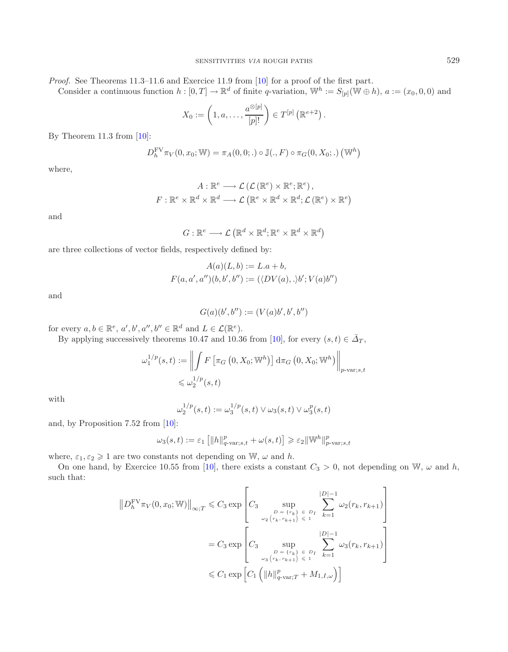*Proof.* See Theorems 11.3–11.6 and Exercice 11.9 from [\[10\]](#page-28-9) for a proof of the first part.

Consider a continuous function  $h : [0, T] \to \mathbb{R}^d$  of finite q-variation,  $\mathbb{W}^h := S_{[p]}(\mathbb{W} \oplus h)$ ,  $a := (x_0, 0, 0)$  and

$$
X_0 := \left(1, a, \ldots, \frac{a^{\otimes [p]}}{[p]!}\right) \in T^{[p]}\left(\mathbb{R}^{e+2}\right).
$$

By Theorem 11.3 from  $[10]$ :

$$
D_h^{\text{FV}} \pi_V(0, x_0; \mathbb{W}) = \pi_A(0, 0; .) \circ \mathbb{J}(., F) \circ \pi_G(0, X_0; .) (\mathbb{W}^h)
$$

where,

$$
A: \mathbb{R}^e \longrightarrow \mathcal{L}(\mathcal{L}(\mathbb{R}^e) \times \mathbb{R}^e; \mathbb{R}^e),
$$
  

$$
F: \mathbb{R}^e \times \mathbb{R}^d \times \mathbb{R}^d \longrightarrow \mathcal{L}(\mathbb{R}^e \times \mathbb{R}^d \times \mathbb{R}^d; \mathcal{L}(\mathbb{R}^e) \times \mathbb{R}^e)
$$

and

$$
G: \mathbb{R}^e \longrightarrow \mathcal{L}\left(\mathbb{R}^d \times \mathbb{R}^d; \mathbb{R}^e \times \mathbb{R}^d \times \mathbb{R}^d\right)
$$

are three collections of vector fields, respectively defined by:

$$
A(a)(L, b) := L.a + b,
$$
  

$$
F(a, a', a'')(b, b', b'') := (\langle DV(a), . \rangle b'; V(a)b'')
$$

and

$$
G(a)(b',b'') := (V(a)b', b', b'')
$$

for every  $a, b \in \mathbb{R}^e$ ,  $a', b', a'', b'' \in \mathbb{R}^d$  and  $L \in \mathcal{L}(\mathbb{R}^e)$ .

By applying successively theorems 10.47 and 10.36 from [\[10\]](#page-28-9), for every  $(s, t) \in \overline{\Delta}_T$ ,

$$
\omega_1^{1/p}(s,t) := \left\| \int F\left[\pi_G\left(0, X_0; \mathbb{W}^h\right)\right] d\pi_G\left(0, X_0; \mathbb{W}^h\right) \right\|_{p\text{-var};s,t}
$$
  
\$\leqslant \omega\_2^{1/p}(s,t)\$

with

$$
\omega_2^{1/p}(s,t) := \omega_3^{1/p}(s,t) \vee \omega_3(s,t) \vee \omega_3^p(s,t)
$$

and, by Proposition 7.52 from [\[10\]](#page-28-9):

$$
\omega_3(s,t):=\varepsilon_1\left[\|h\|_{q\text{-}\mathrm{var};s,t}^p+\omega(s,t)\right]\geqslant\varepsilon_2\|\mathbb{W}^h\|_{p\text{-}\mathrm{var};s,t}^p
$$

where,  $\varepsilon_1, \varepsilon_2 \geq 1$  are two constants not depending on W,  $\omega$  and h.

On one hand, by Exercice 10.55 from [\[10\]](#page-28-9), there exists a constant  $C_3 > 0$ , not depending on W,  $\omega$  and h, such that:

$$
||D_h^{\text{FV}} \pi_V(0, x_0; \mathbb{W})||_{\infty; T} \leq C_3 \exp \left[C_3 \sup_{\substack{D = \{r_k\} \\ \omega_2(r_k, r_{k+1}) \leq 1}} \sum_{\substack{p = 1 \\ \epsilon = 1}}^{|D|-1} \omega_2(r_k, r_{k+1})\right]
$$
  
=  $C_3 \exp \left[C_3 \sup_{\substack{D = \{r_k\} \\ \omega_2(r_k, r_{k+1}) \leq 1}} \sum_{\substack{p = 1 \\ \epsilon = 1}}^{|D|-1} \omega_3(r_k, r_{k+1})\right]$   
 $\leq C_1 \exp \left[C_1 \left(||h||_{q-\text{var};T}^p + M_{1,I,\omega}\right)\right]$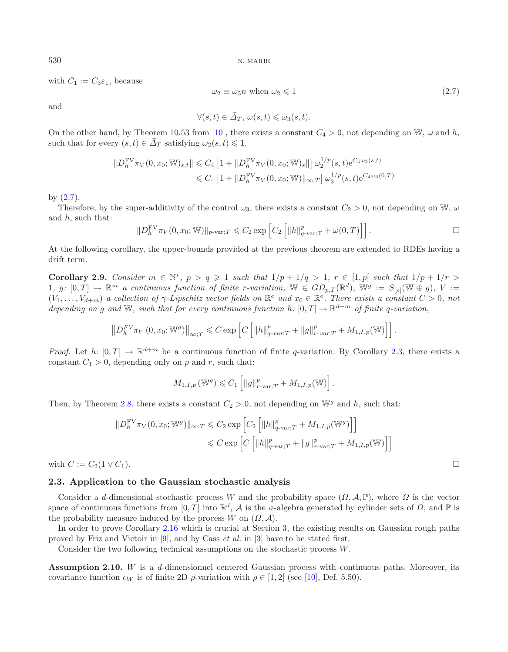with  $C_1 := C_3 \varepsilon_1$ , because

$$
\omega_2 \equiv \omega_3 n \text{ when } \omega_2 \leq 1 \tag{2.7}
$$

and

$$
\forall (s,t) \in \bar{\varDelta}_T, \, \omega(s,t) \leq \omega_3(s,t).
$$

On the other hand, by Theorem 10.53 from [\[10](#page-28-9)], there exists a constant  $C_4 > 0$ , not depending on W,  $\omega$  and h, such that for every  $(s, t) \in \overline{\Delta}_T$  satisfying  $\omega_2(s, t) \leq 1$ ,

$$
||D_h^{\text{FV}} \pi_V(0, x_0; \mathbb{W})_{s,t}|| \leq C_4 \left[1 + ||D_h^{\text{FV}} \pi_V(0, x_0; \mathbb{W})_s||\right] \omega_2^{1/p}(s, t) e^{C_4 \omega_2(s, t)}
$$
  

$$
\leq C_4 \left[1 + ||D_h^{\text{FV}} \pi_V(0, x_0; \mathbb{W})||_{\infty;T}\right] \omega_3^{1/p}(s, t) e^{C_4 \omega_3(0, T)}
$$

by [\(2.7\)](#page-15-1).

Therefore, by the super-additivity of the control  $\omega_3$ , there exists a constant  $C_2 > 0$ , not depending on W,  $\omega$ and  $h$ , such that:

$$
||D_h^{\text{FV}} \pi_V(0, x_0; \mathbb{W})||_{p\text{-var};T} \leq C_2 \exp \left[C_2 \left[||h||_{q\text{-var};T}^p + \omega(0,T)\right]\right].
$$

<span id="page-15-3"></span>At the following corollary, the upper-bounds provided at the previous theorem are extended to RDEs having a drift term.

**Corollary 2.9.** Consider  $m \in \mathbb{N}^*$ ,  $p > q \ge 1$  such that  $1/p + 1/q > 1$ ,  $r \in [1, p]$  such that  $1/p + 1/r >$ 1, g:  $[0,T] \to \mathbb{R}^m$  a continuous function of finite r-variation,  $\mathbb{W} \in G\Omega_{p,T}(\mathbb{R}^d)$ ,  $\mathbb{W}^g := S_{[p]}(\mathbb{W} \oplus g)$ ,  $V :=$  $(V_1,\ldots,V_{d+m})$  *a collection of*  $\gamma$ -Lipschitz vector fields on  $\mathbb{R}^e$  and  $x_0 \in \mathbb{R}^e$ . There exists a constant  $C > 0$ , not *depending on* g and W, such that for every continuous function h:  $[0, T] \rightarrow \mathbb{R}^{d+m}$  of finite q-variation,

$$
\left\|D_h^{FV}\pi_V\left(0,x_0;\mathbb{W}^g\right)\right\|_{\infty;T}\leqslant C\exp\left[C\left[\left\|h\right\|_{q\text{-}var;T}^p+\left\|g\right\|_{r\text{-}var;T}^p+M_{1,I,p}(\mathbb{W})\right]\right].
$$

*Proof.* Let h:  $[0, T] \rightarrow \mathbb{R}^{d+m}$  be a continuous function of finite q-variation. By Corollary [2.3,](#page-5-1) there exists a constant  $C_1 > 0$ , depending only on p and r, such that:

$$
M_{1,I,p}(\mathbb{W}^g) \leqslant C_1 \left[ \left\| g \right\|_{r-\text{var};T}^p + M_{1,I,p}(\mathbb{W}) \right].
$$

Then, by Theorem [2.8,](#page-13-1) there exists a constant  $C_2 > 0$ , not depending on  $\mathbb{W}^g$  and h, such that:

$$
||D_h^{\text{FV}} \pi_V(0, x_0; \mathbb{W}^g)||_{\infty; T} \leq C_2 \exp \left[ C_2 \left[ ||h||_{q-\text{var};T}^p + M_{1,I,p}(\mathbb{W}^g) \right] \right]
$$
  

$$
\leq C \exp \left[ C \left[ ||h||_{q-\text{var};T}^p + ||g||_{r-\text{var};T}^p + M_{1,I,p}(\mathbb{W}) \right] \right]
$$

with  $C := C_2(1 \vee C_1)$ .

## **2.3. Application to the Gaussian stochastic analysis**

Consider a d-dimensional stochastic process W and the probability space  $(\Omega, \mathcal{A}, \mathbb{P})$ , where  $\Omega$  is the vector space of continuous functions from [0, T] into  $\mathbb{R}^d$ , A is the σ-algebra generated by cylinder sets of  $\Omega$ , and  $\mathbb P$  is the probability measure induced by the process W on  $(\Omega, \mathcal{A})$ .

In order to prove Corollary [2.16](#page-16-0) which is crucial at Section 3, the existing results on Gaussian rough paths proved by Friz and Victoir in [\[9](#page-28-13)], and by Cass *et al.* in [\[3\]](#page-27-3) have to be stated first.

Consider the two following technical assumptions on the stochastic process W.

<span id="page-15-2"></span><span id="page-15-0"></span>**Assumption 2.10.** W is a d-dimensionnel centered Gaussian process with continuous paths. Moreover, its covariance function  $c_W$  is of finite 2D  $\rho$ -variation with  $\rho \in [1,2]$  (see [\[10\]](#page-28-9), Def. 5.50).

<span id="page-15-1"></span>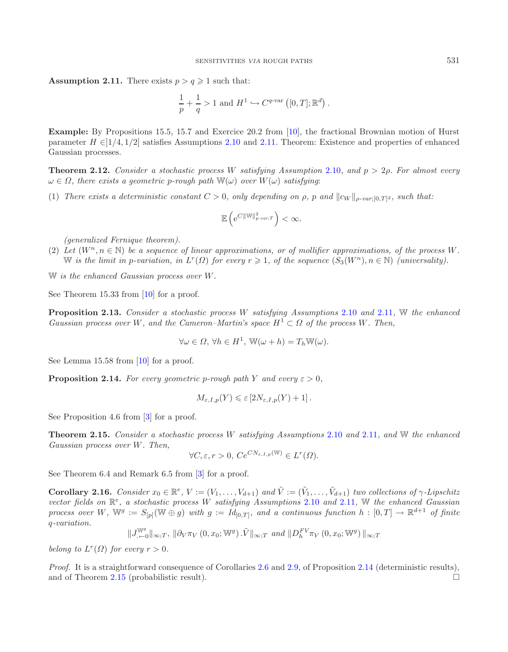**Assumption 2.11.** There exists  $p > q \geq 1$  such that:

$$
\frac{1}{p} + \frac{1}{q} > 1
$$
 and 
$$
H^1 \hookrightarrow C^{q\text{-var}}([0,T];\mathbb{R}^d).
$$

**Example:** By Propositions 15.5, 15.7 and Exercice 20.2 from [\[10\]](#page-28-9), the fractional Brownian motion of Hurst parameter  $H \in ]1/4, 1/2]$  satisfies Assumptions [2.10](#page-15-0) and [2.11.](#page-15-2) Theorem: Existence and properties of enhanced Gaussian processes.

<span id="page-16-4"></span>**Theorem 2.12.** *Consider a stochastic process* W *satisfying Assumption* [2.10](#page-15-0)*, and* p > 2ρ*. For almost every*  $\omega \in \Omega$ , there exists a geometric p-rough path  $\mathbb{W}(\omega)$  over  $W(\omega)$  satisfying:

(1) *There exists a deterministic constant*  $C > 0$ *, only depending on*  $\rho$ *, p and*  $||c_W||_{\rho \text{-}var[0,T]^2}$ *, such that:* 

$$
\mathbb{E}\left(\mathrm{e}^{C\|\mathbb{W}\|_{p-var;T}^2}\right) < \infty.
$$

*(generalized Fernique theorem).*

(2) Let  $(W^n, n \in \mathbb{N})$  be a sequence of linear approximations, or of mollifier approximations, of the process W.  $\mathbb{W}$  *is the limit in p-variation, in*  $L^r(\Omega)$  *for every*  $r \geq 1$ *, of the sequence*  $(S_3(W^n), n \in \mathbb{N})$  *(universality).* 

W *is the enhanced Gaussian process over* W*.*

<span id="page-16-3"></span>See Theorem 15.33 from [\[10\]](#page-28-9) for a proof.

**Proposition 2.13.** *Consider a stochastic process* W *satisfying Assumptions* [2.10](#page-15-0) *and* [2.11](#page-15-2)*,* W *the enhanced Gaussian process over* W, and the Cameron–Martin's space  $H^1 \subset \Omega$  of the process W. Then,

$$
\forall \omega \in \Omega, \,\forall h \in H^1, \,\mathbb{W}(\omega + h) = T_h \mathbb{W}(\omega).
$$

<span id="page-16-1"></span>See Lemma 15.58 from [\[10](#page-28-9)] for a proof.

**Proposition 2.14.** For every geometric p-rough path Y and every  $\varepsilon > 0$ ,

$$
M_{\varepsilon,I,p}(Y) \leqslant \varepsilon \left[2N_{\varepsilon,I,p}(Y) + 1\right].
$$

<span id="page-16-2"></span>See Proposition 4.6 from [\[3\]](#page-27-3) for a proof.

**Theorem 2.15.** *Consider a stochastic process* W *satisfying Assumptions* [2.10](#page-15-0) *and* [2.11](#page-15-2)*, and* W *the enhanced Gaussian process over* W*. Then,*

$$
\forall C, \varepsilon, r > 0, \, Ce^{CN_{\varepsilon, I, p}(\mathbb{W})} \in L^r(\Omega).
$$

<span id="page-16-0"></span>See Theorem 6.4 and Remark 6.5 from [\[3\]](#page-27-3) for a proof.

**Corollary 2.16.** *Consider*  $x_0 \in \mathbb{R}^e$ ,  $V := (V_1, \ldots, V_{d+1})$  *and*  $\tilde{V} := (\tilde{V}_1, \ldots, \tilde{V}_{d+1})$  *two collections of*  $\gamma$ *-Lipschitz vector fields on* R<sup>e</sup>*, a stochastic process* W *satisfying Assumptions* [2.10](#page-15-0) *and* [2.11](#page-15-2)*,* W *the enhanced Gaussian process over* W,  $\mathbb{W}^g := S_{[p]}(\mathbb{W} \oplus g)$  *with*  $g := Id_{[0,T]}$ *, and a continuous function*  $h : [0,T] \to \mathbb{R}^{d+1}$  *of finite* q*-variation.*

$$
\|J^{W^g}_{\cdot \leftarrow 0}\|_{\infty;T},\ \|\partial_V \pi_V\left(0,x_0; \mathbb{W}^g\right).\tilde{V}\|_{\infty;T} \ and \ \|D^{FV}_{h} \pi_V\left(0,x_0; \mathbb{W}^g\right)\|_{\infty;T}
$$

*belong to*  $L^r(\Omega)$  *for every*  $r > 0$ *.* 

*Proof.* It is a straightforward consequence of Corollaries [2.6](#page-12-0) and [2.9,](#page-15-3) of Proposition [2.14](#page-16-1) (deterministic results), and of Theorem [2.15](#page-16-2) (probabilistic result).  $\Box$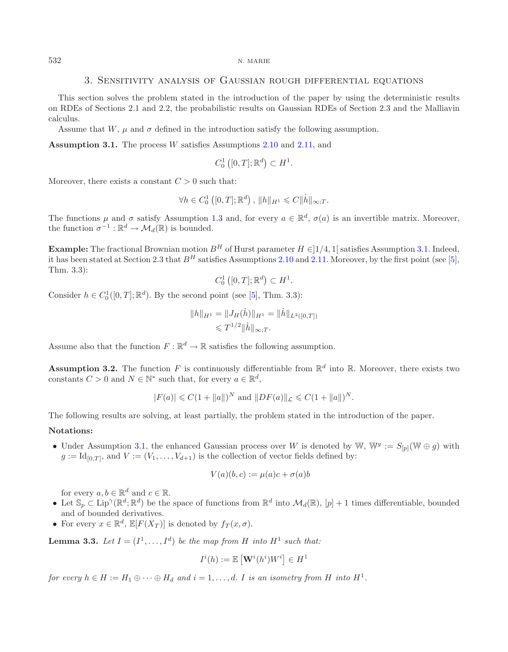## 3. Sensitivity analysis of Gaussian rough differential equations

This section solves the problem stated in the introduction of the paper by using the deterministic results on RDEs of Sections 2.1 and 2.2, the probabilistic results on Gaussian RDEs of Section 2.3 and the Malliavin calculus.

Assume that W,  $\mu$  and  $\sigma$  defined in the introduction satisfy the following assumption.

**Assumption 3.1.** The process W satisfies Assumptions [2.10](#page-15-0) and [2.11,](#page-15-2) and

<span id="page-17-0"></span>
$$
C_0^1([0,T];\mathbb{R}^d) \subset H^1.
$$

Moreover, there exists a constant  $C > 0$  such that:

$$
\forall h \in C_0^1([0, T]; \mathbb{R}^d), ||h||_{H^1} \leqslant C ||\dot{h}||_{\infty; T}.
$$

The functions  $\mu$  and  $\sigma$  satisfy Assumption [1.3](#page-1-1) and, for every  $a \in \mathbb{R}^d$ ,  $\sigma(a)$  is an invertible matrix. Moreover, the function  $\sigma^{-1}: \mathbb{R}^d \to \mathcal{M}_d(\mathbb{R})$  is bounded.

**Example:** The fractional Brownian motion  $B^H$  of Hurst parameter  $H \in ]1/4, 1[$  satisfies Assumption [3.1.](#page-17-0) Indeed, it has been stated at Section 2.3 that  $B^H$  satisfies Assumptions [2.10](#page-15-0) and [2.11.](#page-15-2) Moreover, by the first point (see [\[5](#page-27-6)], Thm. 3.3):

 $C_0^1([0,T];\mathbb{R}^d) \subset H^1.$ 

Consider  $h \in C_0^1([0, T]; \mathbb{R}^d)$ . By the second point (see [\[5\]](#page-27-6), Thm. 3.3):

$$
||h||_{H^1} = ||J_H(\dot{h})||_{H^1} = ||\dot{h}||_{L^2([0,T])}
$$
  
\$\leq T^{1/2} ||\dot{h}||\_{\infty,T}\$.

<span id="page-17-1"></span>Assume also that the function  $F : \mathbb{R}^d \to \mathbb{R}$  satisfies the following assumption.

**Assumption 3.2.** The function F is continuously differentiable from  $\mathbb{R}^d$  into  $\mathbb{R}$ . Moreover, there exists two constants  $C > 0$  and  $N \in \mathbb{N}^*$  such that, for every  $a \in \mathbb{R}^d$ ,

$$
|F(a)| \leq C(1 + ||a||)^N
$$
 and  $||DF(a)||_{\mathcal{L}} \leq C(1 + ||a||)^N$ .

The following results are solving, at least partially, the problem stated in the introduction of the paper.

### **Notations:**

• Under Assumption [3.1,](#page-17-0) the enhanced Gaussian process over W is denoted by W,  $\mathbb{W}^g := S_{[p]}(\mathbb{W} \oplus g)$  with  $g := \mathrm{Id}_{[0,T]}$ , and  $V := (V_1, \ldots, V_{d+1})$  is the collection of vector fields defined by:

$$
V(a)(b,c) := \mu(a)c + \sigma(a)b
$$

for every  $a, b \in \mathbb{R}^d$  and  $c \in \mathbb{R}$ .

- Let  $\mathbb{S}_p \subset \text{Lip}^{\gamma}(\mathbb{R}^d; \mathbb{R}^d)$  be the space of functions from  $\mathbb{R}^d$  into  $\mathcal{M}_d(\mathbb{R}), [p] + 1$  times differentiable, bounded and of bounded derivatives.
- For every  $x \in \mathbb{R}^d$ ,  $\mathbb{E}[F(X_T)]$  is denoted by  $f_T(x, \sigma)$ .

<span id="page-17-2"></span>**Lemma 3.3.** Let  $I = (I^1, \ldots, I^d)$  be the map from H into  $H^1$  such that:

$$
I^i(h) := \mathbb{E}\left[\mathbf{W}^i(h^i)W^i\right] \in H^1
$$

*for every*  $h \in H := H_1 \oplus \cdots \oplus H_d$  and  $i = 1, \ldots, d$ . I is an isometry from H into  $H^1$ .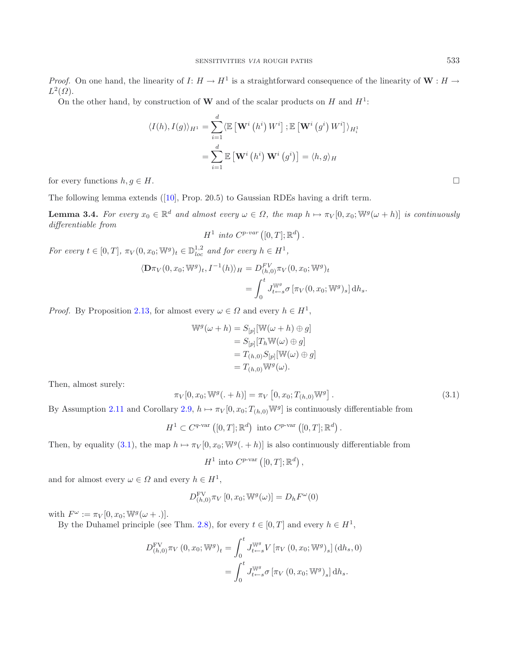*Proof.* On one hand, the linearity of  $I: H \to H^1$  is a straightforward consequence of the linearity of  $W: H \to H^1$  $L^2(\Omega)$ .

On the other hand, by construction of **W** and of the scalar products on  $H$  and  $H^1$ :

$$
\langle I(h), I(g) \rangle_{H^1} = \sum_{i=1}^d \langle \mathbb{E} \left[ \mathbf{W}^i \left( h^i \right) W^i \right]; \mathbb{E} \left[ \mathbf{W}^i \left( g^i \right) W^i \right] \rangle_{H_i^1}
$$

$$
= \sum_{i=1}^d \mathbb{E} \left[ \mathbf{W}^i \left( h^i \right) \mathbf{W}^i \left( g^i \right) \right] = \langle h, g \rangle_H
$$

for every functions  $h, g \in H$ .

<span id="page-18-1"></span>The following lemma extends ([\[10](#page-28-9)], Prop. 20.5) to Gaussian RDEs having a drift term.

**Lemma 3.4.** *For every*  $x_0 \in \mathbb{R}^d$  *and almost every*  $\omega \in \Omega$ , the map  $h \mapsto \pi_V[0, x_0; \mathbb{W}^g(\omega + h)]$  *is continuously differentiable from*

$$
H^1 \text{ into } C^{p\text{-}var}([0,T];\mathbb{R}^d) .
$$

<span id="page-18-0"></span>*For every*  $t \in [0, T]$ ,  $\pi_V(0, x_0; \mathbb{W}^g)_t \in \mathbb{D}_{loc}^{1,2}$  and for every  $h \in H^1$ ,

$$
\langle \mathbf{D}\pi_V(0, x_0; \mathbb{W}^g)_t, I^{-1}(h) \rangle_H = D_{(h,0)}^{FV} \pi_V(0, x_0; \mathbb{W}^g)_t
$$
  
= 
$$
\int_0^t J_{t \leftarrow s}^{\mathbb{W}^g} \sigma \left[ \pi_V(0, x_0; \mathbb{W}^g)_s \right] dh_s.
$$

*Proof.* By Proposition [2.13,](#page-16-3) for almost every  $\omega \in \Omega$  and every  $h \in H^1$ ,

$$
\mathbb{W}^g(\omega + h) = S_{[p]}[\mathbb{W}(\omega + h) \oplus g]
$$
  
=  $S_{[p]}[T_h \mathbb{W}(\omega) \oplus g]$   
=  $T_{(h,0)}S_{[p]}[\mathbb{W}(\omega) \oplus g]$   
=  $T_{(h,0)}\mathbb{W}^g(\omega)$ .

Then, almost surely:

$$
\pi_V[0, x_0; \mathbb{W}^g(. + h)] = \pi_V[0, x_0; T_{(h,0)} \mathbb{W}^g].
$$
\n(3.1)

By Assumption [2.11](#page-15-2) and Corollary [2.9,](#page-15-3)  $h \mapsto \pi_V[0, x_0; T_{(h,0)} \mathbb{W}^g]$  is continuously differentiable from

$$
H^{1} \subset C^{q\text{-var}}([0,T];\mathbb{R}^{d}) \text{ into } C^{p\text{-var}}([0,T];\mathbb{R}^{d}).
$$

Then, by equality [\(3.1\)](#page-18-0), the map  $h \mapsto \pi_V[0, x_0; \mathbb{W}^g(. + h)]$  is also continuously differentiable from

$$
H^{1} \text{ into } C^{p\text{-var}}([0,T];\mathbb{R}^{d}),
$$

and for almost every  $\omega \in \Omega$  and every  $h \in H^1$ ,

$$
D_{(h,0)}^{\text{FV}} \pi_V [0, x_0; \mathbb{W}^g(\omega)] = D_h F^\omega(0)
$$

with  $F^{\omega} := \pi_V[0, x_0; \mathbb{W}^g(\omega + .)].$ 

By the Duhamel principle (see Thm. [2.8\)](#page-13-1), for every  $t \in [0, T]$  and every  $h \in H^1$ ,

$$
D_{(h,0)}^{\text{FV}} \pi_V (0, x_0; \mathbb{W}^g)_t = \int_0^t J_{t-s}^{\mathbb{W}^g} V \left[ \pi_V (0, x_0; \mathbb{W}^g)_{s} \right] (dh_s, 0)
$$
  
= 
$$
\int_0^t J_{t-s}^{\mathbb{W}^g} \sigma \left[ \pi_V (0, x_0; \mathbb{W}^g)_{s} \right] dh_s.
$$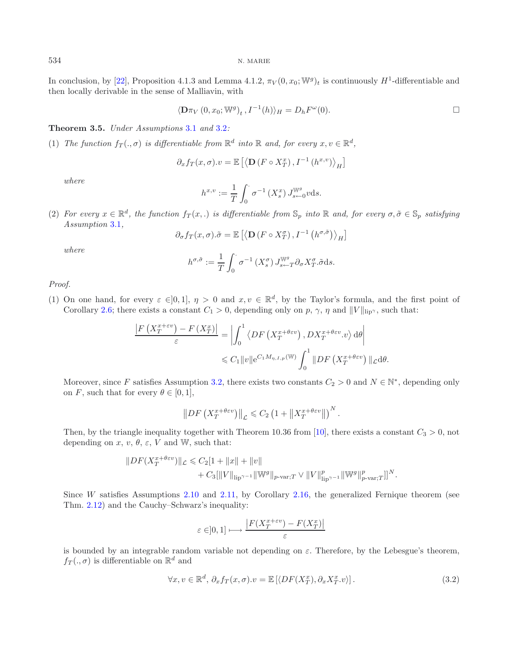In conclusion, by [\[22](#page-28-7)], Proposition 4.1.3 and Lemma 4.1.2,  $\pi_V(0, x_0; \mathbb{W}^g)_t$  is continuously  $H^1$ -differentiable and then locally derivable in the sense of Malliavin, with

$$
\langle \mathbf{D}\pi_V(0, x_0; \mathbb{W}^g)_t, I^{-1}(h) \rangle_H = D_h F^{\omega}(0).
$$

### <span id="page-19-1"></span>**Theorem 3.5.** *Under Assumptions* [3.1](#page-17-0) *and* [3.2](#page-17-1)*:*

(1) *The function*  $f_T(.,\sigma)$  *is differentiable from*  $\mathbb{R}^d$  *into*  $\mathbb{R}$  *and, for every*  $x, v \in \mathbb{R}^d$ *,* 

$$
\partial_x f_T(x, \sigma). v = \mathbb{E}\left[\left\langle \mathbf{D}\left(F \circ X_T^x\right), I^{-1}\left(h^{x,v}\right)\right\rangle_H\right]
$$

*where*

$$
h^{x,v} := \frac{1}{T} \int_0^{\cdot} \sigma^{-1}(X_s^x) J_{s \leftarrow 0}^{\mathbb{W}^g} v \, ds.
$$

(2) *For every*  $x \in \mathbb{R}^d$ , the function  $f_T(x,.)$  *is differentiable from*  $\mathbb{S}_p$  *into*  $\mathbb{R}$  *and, for every*  $\sigma, \tilde{\sigma} \in \mathbb{S}_p$  *satisfying Assumption* [3.1](#page-17-0)*,*

$$
\partial_{\sigma} f_T(x, \sigma) . \tilde{\sigma} = \mathbb{E}\left[ \left\langle \mathbf{D} \left( F \circ X_T^{\sigma} \right), I^{-1} \left( h^{\sigma, \tilde{\sigma}} \right) \right\rangle_H \right]
$$

*where*

$$
h^{\sigma, \tilde{\sigma}} := \frac{1}{T} \int_0^{\cdot} \sigma^{-1} \left( X_s^{\sigma} \right) J_{s \leftarrow T}^{\mathbb{W}^g} \partial_{\sigma} X_T^{\sigma} . \tilde{\sigma} \, \mathrm{d} s.
$$

*Proof.*

(1) On one hand, for every  $\varepsilon \in ]0,1]$ ,  $\eta > 0$  and  $x, v \in \mathbb{R}^d$ , by the Taylor's formula, and the first point of Corollary [2.6;](#page-12-0) there exists a constant  $C_1 > 0$ , depending only on p,  $\gamma$ ,  $\eta$  and  $||V||_{\text{lip}}$ , such that:

$$
\frac{\left|F\left(X_T^{x+\varepsilon v}\right) - F\left(X_T^x\right)\right|}{\varepsilon} = \left| \int_0^1 \left\langle DF\left(X_T^{x+\theta \varepsilon v}\right), DX_T^{x+\theta \varepsilon v}.v \right\rangle d\theta \right|
$$
  

$$
\leq C_1 \|v\| e^{C_1 M_{\eta,I,p}(\mathbb{W})} \int_0^1 \|DF\left(X_T^{x+\theta \varepsilon v}\right) \|_{\mathcal{L}} d\theta.
$$

Moreover, since F satisfies Assumption [3.2,](#page-17-1) there exists two constants  $C_2 > 0$  and  $N \in \mathbb{N}^*$ , depending only on F, such that for every  $\theta \in [0,1]$ ,

$$
\left\|DF\left(X_T^{x+\theta\epsilon v}\right)\right\|_{\mathcal{L}} \leqslant C_2 \left(1+\left\|X_T^{x+\theta\epsilon v}\right\| \right)^N.
$$

Then, by the triangle inequality together with Theorem 10.36 from [\[10\]](#page-28-9), there exists a constant  $C_3 > 0$ , not depending on  $x, v, \theta, \varepsilon, V$  and W, such that:

<span id="page-19-0"></span>
$$
||DF(X_T^{x+\theta \varepsilon v})||_{\mathcal{L}} \leq C_2[1+||x||+||v||+ C_3[||V||_{\text{lip}}^{\gamma-1}||\mathbb{W}^g||_{p-\text{var};T} \vee ||V||_{\text{lip}}^p{}_{\gamma-1}||\mathbb{W}^g||_{p-\text{var};T}^p]]^N.
$$

Since W satisfies Assumptions [2.10](#page-15-0) and [2.11,](#page-15-2) by Corollary [2.16,](#page-16-0) the generalized Fernique theorem (see Thm. [2.12\)](#page-16-4) and the Cauchy–Schwarz's inequality:

$$
\varepsilon \in ]0,1] \longmapsto \frac{\left|F(X_T^{x+\varepsilon v}) - F(X_T^x)\right|}{\varepsilon}
$$

is bounded by an integrable random variable not depending on  $\varepsilon$ . Therefore, by the Lebesgue's theorem,  $f_T(.,\sigma)$  is differentiable on  $\mathbb{R}^d$  and

$$
\forall x, v \in \mathbb{R}^d, \, \partial_x f_T(x, \sigma).v = \mathbb{E}\left[ \langle DF(X_T^x), \partial_x X_T^x. v \rangle \right]. \tag{3.2}
$$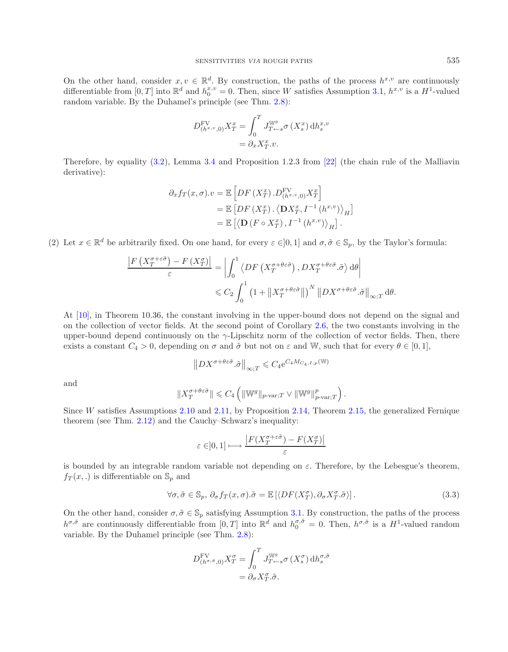On the other hand, consider  $x, v \in \mathbb{R}^d$ . By construction, the paths of the process  $h^{x,v}$  are continuously differentiable from  $[0, T]$  into  $\mathbb{R}^d$  and  $h_0^{x,v} = 0$ . Then, since W satisfies Assumption [3.1,](#page-17-0)  $h^{x,v}$  is a  $H^1$ -valued random variable. By the Duhamel's principle (see Thm. [2.8\)](#page-13-1):

$$
D_{(h^{x,v},0)}^{\text{FV}} X_T^x = \int_0^T J_{T \leftarrow s}^{\mathbb{W}^g} \sigma(X_s^x) \, \mathrm{d} h_s^{x,v}
$$

$$
= \partial_x X_T^x .v.
$$

Therefore, by equality [\(3.2\)](#page-19-0), Lemma [3.4](#page-18-1) and Proposition 1.2.3 from [\[22](#page-28-7)] (the chain rule of the Malliavin derivative):

$$
\partial_x f_T(x, \sigma). v = \mathbb{E}\left[DF\left(X_T^x\right).D_{(h^{x,v}, 0)}^{\text{FV}} X_T^x\right]
$$
  
=  $\mathbb{E}\left[DF\left(X_T^x\right). \left\langle \mathbf{D} X_T^x, I^{-1}\left(h^{x,v}\right)\right\rangle_H\right]$   
=  $\mathbb{E}\left[\left\langle \mathbf{D}\left(F \circ X_T^x\right), I^{-1}\left(h^{x,v}\right)\right\rangle_H\right].$ 

(2) Let  $x \in \mathbb{R}^d$  be arbitrarily fixed. On one hand, for every  $\varepsilon \in ]0,1]$  and  $\sigma, \tilde{\sigma} \in \mathbb{S}_p$ , by the Taylor's formula:

$$
\frac{\left|F\left(X_T^{\sigma+\varepsilon\tilde{\sigma}}\right)-F\left(X_T^{\sigma}\right)\right|}{\varepsilon}=\left|\int_0^1\left\langle DF\left(X_T^{\sigma+\theta\varepsilon\tilde{\sigma}}\right), DX_T^{\sigma+\theta\varepsilon\tilde{\sigma}}.\tilde{\sigma}\right\rangle \mathrm{d}\theta\right|\leqslant C_2\int_0^1\left(1+\left\|X_T^{\sigma+\theta\varepsilon\tilde{\sigma}}\right\|\right)^N\left\|DX^{\sigma+\theta\varepsilon\tilde{\sigma}}.\tilde{\sigma}\right\|_{\infty;T}\mathrm{d}\theta.
$$

At [\[10](#page-28-9)], in Theorem 10.36, the constant involving in the upper-bound does not depend on the signal and on the collection of vector fields. At the second point of Corollary [2.6,](#page-12-0) the two constants involving in the upper-bound depend continuously on the  $\gamma$ -Lipschitz norm of the collection of vector fields. Then, there exists a constant  $C_4 > 0$ , depending on  $\sigma$  and  $\tilde{\sigma}$  but not on  $\varepsilon$  and W, such that for every  $\theta \in [0, 1]$ ,

$$
\left\|DX^{\sigma+\theta\epsilon\tilde{\sigma}}.\tilde{\sigma}\right\|_{\infty;T}\leqslant C_{4}\mathrm{e}^{C_{4}M_{C_{4},I,p}(\mathbb{W})}
$$

and

<span id="page-20-0"></span>
$$
\|X_T^{\sigma+\theta \varepsilon \tilde{\sigma}}\| \leqslant C_4 \left( \|\mathbb{W}^g\|_{p\text{-}\mathrm{var};T} \vee \|\mathbb{W}^g\|_{p\text{-}\mathrm{var};T}^p \right).
$$

Since W satisfies Assumptions [2.10](#page-15-0) and [2.11,](#page-15-2) by Proposition [2.14,](#page-16-1) Theorem [2.15,](#page-16-2) the generalized Fernique theorem (see Thm. [2.12\)](#page-16-4) and the Cauchy–Schwarz's inequality:

$$
\varepsilon \in ]0,1] \longmapsto \frac{\left|F(X_T^{\sigma+\varepsilon\tilde{\sigma}}) - F(X_T^{\sigma})\right|}{\varepsilon}
$$

is bounded by an integrable random variable not depending on  $\varepsilon$ . Therefore, by the Lebesgue's theorem,  $f_T(x,.)$  is differentiable on  $\mathbb{S}_p$  and

$$
\forall \sigma, \tilde{\sigma} \in \mathbb{S}_p, \, \partial_{\sigma} f_T(x, \sigma). \tilde{\sigma} = \mathbb{E} \left[ \langle DF(X_T^{\sigma}), \partial_{\sigma} X_T^{\sigma}. \tilde{\sigma} \rangle \right]. \tag{3.3}
$$

On the other hand, consider  $\sigma, \tilde{\sigma} \in \mathbb{S}_p$  satisfying Assumption [3.1.](#page-17-0) By construction, the paths of the process  $h^{\sigma,\tilde{\sigma}}$  are continuously differentiable from  $[0,T]$  into  $\mathbb{R}^d$  and  $h_0^{\sigma,\tilde{\sigma}} = 0$ . Then,  $h^{\sigma,\tilde{\sigma}}$  is a  $H^1$ -valued random variable. By the Duhamel principle (see Thm. [2.8\)](#page-13-1):

$$
D^{\text{FV}}_{(h^{\sigma,\tilde{\sigma}},0)} X^{\sigma}_{T} = \int_{0}^{T} J^{\mathbb{W}^{g}}_{T \leftarrow s} \sigma\left(X^{\sigma}_{s}\right) \mathrm{d} h^{\sigma,\tilde{\sigma}}_{s}
$$

$$
= \partial_{\sigma} X^{\sigma}_{T} . \tilde{\sigma}.
$$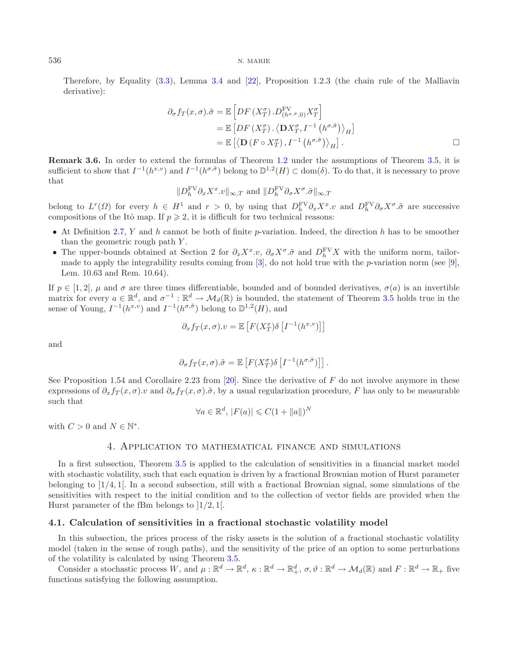Therefore, by Equality [\(3.3\)](#page-20-0), Lemma [3.4](#page-18-1) and [\[22](#page-28-7)], Proposition 1.2.3 (the chain rule of the Malliavin derivative):

$$
\partial_{\sigma} f_T(x, \sigma) . \tilde{\sigma} = \mathbb{E} \left[ DF \left( X_T^{\sigma} \right) . D_{(h^{\sigma, \tilde{\sigma}}, 0)}^{\text{FV}} X_T^{\sigma} \right]
$$
  
=  $\mathbb{E} \left[ DF \left( X_T^{\sigma} \right) . \left\langle \mathbf{D} X_T^{\sigma}, I^{-1} \left( h^{\sigma, \tilde{\sigma}} \right) \right\rangle_H \right]$   
=  $\mathbb{E} \left[ \left\langle \mathbf{D} \left( F \circ X_T^{\sigma} \right), I^{-1} \left( h^{\sigma, \tilde{\sigma}} \right) \right\rangle_H \right].$ 

**Remark 3.6.** In order to extend the formulas of Theorem [1.2](#page-1-0) under the assumptions of Theorem [3.5,](#page-19-1) it is sufficient to show that  $I^{-1}(h^{x,v})$  and  $I^{-1}(h^{\sigma,\tilde{\sigma}})$  belong to  $\mathbb{D}^{1,2}(H) \subset \text{dom}(\delta)$ . To do that, it is necessary to prove that

$$
\|D_h^{\text{FV}} \partial_x X^x. v\|_{\infty,T} \text{ and } \|D_h^{\text{FV}} \partial_\sigma X^\sigma. \tilde{\sigma}\|_{\infty,T}
$$

belong to  $L^r(\Omega)$  for every  $h \in H^1$  and  $r > 0$ , by using that  $D_h^F V \partial_x X^x \cdot v$  and  $D_h^F V \partial_\sigma X^\sigma \cdot \tilde{\sigma}$  are successive compositions of the Itô map. If  $p \geqslant 2$ , it is difficult for two technical reasons:

- At Definition [2.7,](#page-13-0) Y and h cannot be both of finite p-variation. Indeed, the direction h has to be smoother than the geometric rough path  $Y$ .
- The upper-bounds obtained at Section 2 for  $\partial_x X^x \cdot v$ ,  $\partial_{\sigma} X^{\sigma} \cdot \tilde{\sigma}$  and  $D_h^{FV} X$  with the uniform norm, tailormade to apply the integrability results coming from  $[3]$  $[3]$ , do not hold true with the p-variation norm (see  $[9]$  $[9]$ , Lem. 10.63 and Rem. 10.64).

If  $p \in [1, 2], \mu$  and  $\sigma$  are three times differentiable, bounded and of bounded derivatives,  $\sigma(a)$  is an invertible matrix for every  $a \in \mathbb{R}^d$ , and  $\sigma^{-1} : \mathbb{R}^d \to \mathcal{M}_d(\mathbb{R})$  is bounded, the statement of Theorem [3.5](#page-19-1) holds true in the sense of Young,  $I^{-1}(h^{x,v})$  and  $I^{-1}(h^{\sigma,\tilde{\sigma}})$  belong to  $\mathbb{D}^{1,2}(H)$ , and

$$
\partial_x f_T(x, \sigma). v = \mathbb{E}\left[F(X_T^x)\delta\left[I^{-1}(h^{x,v})\right]\right]
$$

and

$$
\partial_{\sigma} f_T(x, \sigma) . \tilde{\sigma} = \mathbb{E}\left[F(X_T^{\sigma}) \delta \left[I^{-1}(h^{\sigma, \tilde{\sigma}})\right]\right].
$$

See Proposition 1.54 and Corollaire 2.23 from [\[20\]](#page-28-14). Since the derivative of  $F$  do not involve anymore in these expressions of  $\partial_x f_T(x, \sigma)$ .*v* and  $\partial_{\sigma} f_T(x, \sigma)$ . $\tilde{\sigma}$ , by a usual regularization procedure, F has only to be measurable such that

$$
\forall a \in \mathbb{R}^d, \, |F(a)| \leqslant C(1 + \|a\|)^N
$$

with  $C > 0$  and  $N \in \mathbb{N}^*$ .

## 4. Application to mathematical finance and simulations

In a first subsection, Theorem [3.5](#page-19-1) is applied to the calculation of sensitivities in a financial market model with stochastic volatility, such that each equation is driven by a fractional Brownian motion of Hurst parameter belonging to ]1/4, 1[. In a second subsection, still with a fractional Brownian signal, some simulations of the sensitivities with respect to the initial condition and to the collection of vector fields are provided when the Hurst parameter of the fBm belongs to  $\left|1/2,1\right|$ .

### **4.1. Calculation of sensitivities in a fractional stochastic volatility model**

In this subsection, the prices process of the risky assets is the solution of a fractional stochastic volatility model (taken in the sense of rough paths), and the sensitivity of the price of an option to some perturbations of the volatility is calculated by using Theorem [3.5.](#page-19-1)

<span id="page-21-0"></span>Consider a stochastic process W, and  $\mu : \mathbb{R}^d \to \mathbb{R}^d$ ,  $\kappa : \mathbb{R}^d \to \mathbb{R}^d$ ,  $\sigma, \vartheta : \mathbb{R}^d \to \mathcal{M}_d(\mathbb{R})$  and  $F : \mathbb{R}^d \to \mathbb{R}$  five functions satisfying the following assumption.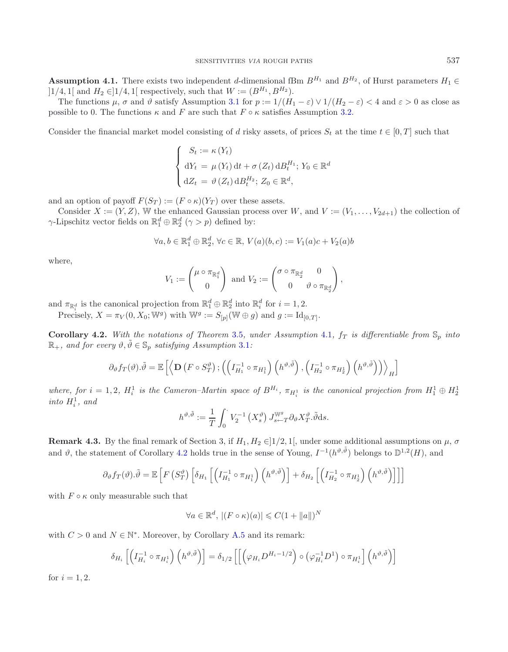**Assumption 4.1.** There exists two independent d-dimensional fBm  $B^{H_1}$  and  $B^{H_2}$ , of Hurst parameters  $H_1 \in$  $]1/4, 1[$  and  $H_2 \in ]1/4, 1[$  respectively, such that  $W := (B^{H_1}, B^{H_2}).$ 

The functions  $\mu$ ,  $\sigma$  and  $\vartheta$  satisfy Assumption [3.1](#page-17-0) for  $p := 1/(H_1 - \varepsilon) \vee 1/(H_2 - \varepsilon) < 4$  and  $\varepsilon > 0$  as close as possible to 0. The functions  $\kappa$  and F are such that  $F \circ \kappa$  satisfies Assumption [3.2.](#page-17-1)

Consider the financial market model consisting of d risky assets, of prices  $S_t$  at the time  $t \in [0, T]$  such that

$$
\begin{cases}\nS_t := \kappa(Y_t) \\
dY_t = \mu(Y_t) dt + \sigma(Z_t) dB_t^{H_1}; \ Y_0 \in \mathbb{R}^d \\
dZ_t = \vartheta(Z_t) dB_t^{H_2}; \ Z_0 \in \mathbb{R}^d,\n\end{cases}
$$

and an option of payoff  $F(S_T) := (F \circ \kappa)(Y_T)$  over these assets.

Consider  $X := (Y, Z)$ , W the enhanced Gaussian process over W, and  $V := (V_1, \ldots, V_{2d+1})$  the collection of  $\gamma$ -Lipschitz vector fields on  $\mathbb{R}_1^d \oplus \mathbb{R}_2^d$   $(\gamma > p)$  defined by:

$$
\forall a, b \in \mathbb{R}_1^d \oplus \mathbb{R}_2^d, \forall c \in \mathbb{R}, V(a)(b, c) := V_1(a)c + V_2(a)b
$$

where,

$$
V_1 := \begin{pmatrix} \mu \circ \pi_{\mathbb{R}_1^d} \\ 0 \end{pmatrix} \text{ and } V_2 := \begin{pmatrix} \sigma \circ \pi_{\mathbb{R}_2^d} & 0 \\ 0 & \vartheta \circ \pi_{\mathbb{R}_2^d} \end{pmatrix},
$$

<span id="page-22-0"></span>and  $\pi_{\mathbb{R}_i^d}$  is the canonical projection from  $\mathbb{R}_1^d \oplus \mathbb{R}_2^d$  into  $\mathbb{R}_i^d$  for  $i = 1, 2$ .

Precisely,  $X = \pi_V(0, X_0; \mathbb{W}^g)$  with  $\mathbb{W}^g := S_{[p]}(\mathbb{W} \oplus g)$  and  $g := \mathrm{Id}_{[0,T]}$ .

**Corollary 4.2.** With the notations of Theorem [3.5](#page-19-1), under Assumption [4.1](#page-21-0),  $f_T$  is differentiable from  $\mathbb{S}_p$  into  $\mathbb{R}_+$ *, and for every*  $\vartheta, \tilde{\vartheta} \in \mathbb{S}_p$  *satisfying Assumption* [3.1](#page-17-0)*:* 

$$
\partial_{\vartheta} f_T(\vartheta) . \tilde{\vartheta} = \mathbb{E} \left[ \left\langle \mathbf{D} \left( F \circ S_T^{\vartheta} \right); \left( \left( I_{H_1}^{-1} \circ \pi_{H_1^1} \right) \left( h^{\vartheta, \tilde{\vartheta}} \right), \left( I_{H_2}^{-1} \circ \pi_{H_2^1} \right) \left( h^{\vartheta, \tilde{\vartheta}} \right) \right) \right\rangle_H \right]
$$

where, for  $i = 1, 2$ ,  $H_i^1$  is the Cameron–Martin space of  $B^{H_i}$ ,  $\pi_{H_i^1}$  is the canonical projection from  $H_1^1 \oplus H_2^1$  $into H_i^1$ , and

$$
h^{\vartheta,\tilde{\vartheta}} := \frac{1}{T} \int_0^{\cdot} V_2^{-1} \left(X_s^{\vartheta}\right) J_{s-T}^{\mathbb{W}^g} \partial_{\vartheta} X_T^{\vartheta} \tilde{\vartheta} \, \mathrm{d} s.
$$

**Remark 4.3.** By the final remark of Section 3, if  $H_1, H_2 \in ]1/2, 1[$ , under some additional assumptions on  $\mu$ ,  $\sigma$ and  $\vartheta$ , the statement of Corollary [4.2](#page-22-0) holds true in the sense of Young,  $I^{-1}(h^{\vartheta,\tilde{\vartheta}})$  belongs to  $\mathbb{D}^{1,2}(H)$ , and

$$
\partial_{\vartheta} f_T(\vartheta) . \tilde{\vartheta} = \mathbb{E} \left[ F \left( S_T^{\vartheta} \right) \left[ \delta_{H_1} \left[ \left( I_{H_1}^{-1} \circ \pi_{H_1^1} \right) \left( h^{\vartheta, \tilde{\vartheta}} \right) \right] + \delta_{H_2} \left[ \left( I_{H_2}^{-1} \circ \pi_{H_2^1} \right) \left( h^{\vartheta, \tilde{\vartheta}} \right) \right] \right] \right]
$$

with  $F \circ \kappa$  only measurable such that

$$
\forall a \in \mathbb{R}^d, \ |(F \circ \kappa)(a)| \leqslant C(1 + \|a\|)^N
$$

with  $C > 0$  and  $N \in \mathbb{N}^*$ . Moreover, by Corollary [A.5](#page-27-7) and its remark:

$$
\delta_{H_i}\left[\left(I_{H_i}^{-1} \circ \pi_{H_i^1}\right)\left(h^{\vartheta,\tilde{\vartheta}}\right)\right] = \delta_{1/2}\left[\left[\left(\varphi_{H_i}D^{H_i-1/2}\right) \circ \left(\varphi_{H_i}^{-1}D^1\right) \circ \pi_{H_i^1}\right]\left(h^{\vartheta,\tilde{\vartheta}}\right)\right]
$$

for  $i = 1, 2$ .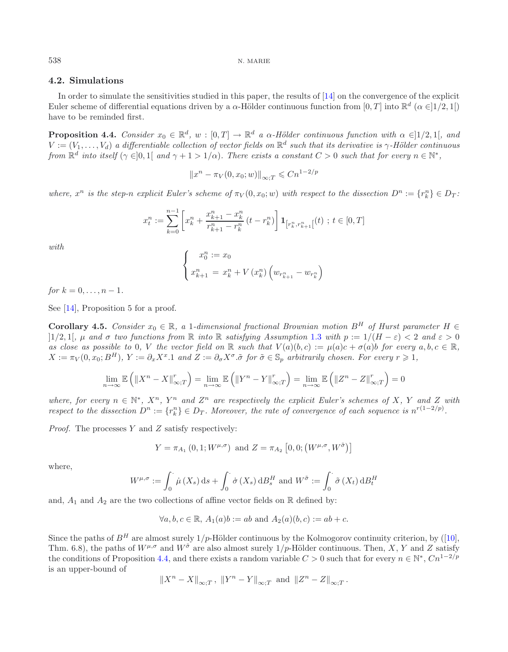## **4.2. Simulations**

In order to simulate the sensitivities studied in this paper, the results of [\[14](#page-28-15)] on the convergence of the explicit Euler scheme of differential equations driven by a  $\alpha$ -Hölder continuous function from [0, T] into  $\mathbb{R}^d$  ( $\alpha \in ]1/2, 1[$ ) have to be reminded first.

<span id="page-23-0"></span>**Proposition 4.4.** *Consider*  $x_0 \in \mathbb{R}^d$ ,  $w : [0, T] \to \mathbb{R}^d$  *a*  $\alpha$ -Hölder continuous function with  $\alpha \in ]1/2, 1[$ , and  $V := (V_1, \ldots, V_d)$  *a differentiable collection of vector fields on*  $\mathbb{R}^d$  *such that its derivative is*  $\gamma$ -Hölder continuous *from*  $\mathbb{R}^d$  *into itself* ( $\gamma \in ]0,1]$  *and*  $\gamma + 1 > 1/\alpha$ *). There exists a constant*  $C > 0$  *such that for every*  $n \in \mathbb{N}^*$ ,

$$
||x^n - \pi_V(0, x_0; w)||_{\infty;T} \leq Cn^{1-2/p}
$$

*where,*  $x^n$  *is the step-n explicit Euler's scheme of*  $\pi_V(0, x_0; w)$  *with respect to the dissection*  $D^n := \{r_k^n\} \in D_T$ .

$$
x_t^n := \sum_{k=0}^{n-1} \left[ x_k^n + \frac{x_{k+1}^n - x_k^n}{r_{k+1}^n - r_k^n} (t - r_k^n) \right] \mathbf{1}_{\left[ r_k^n, r_{k+1}^n \right]}(t) \; ; \; t \in [0, T]
$$

*with*

$$
\begin{cases}\nx_0^n := x_0 \\
x_{k+1}^n = x_k^n + V(x_k^n) \left( w_{r_{k+1}^n} - w_{r_k^n} \right)\n\end{cases}
$$

*for*  $k = 0, \ldots, n - 1$ *.* 

<span id="page-23-1"></span>See [\[14](#page-28-15)], Proposition 5 for a proof.

**Corollary 4.5.** *Consider*  $x_0 \in \mathbb{R}$ , a 1*-dimensional fractional Brownian motion*  $B^H$  *of Hurst parameter*  $H \in$ ]1/2, 1[*,* μ *and* σ *two functions from* R *into* R *satisfying Assumption* [1.3](#page-1-1) *with* p := 1/(H − ε) < 2 *and* ε > 0 *as close as possible to* 0*, V the vector field on*  $\mathbb{R}$  *such that*  $V(a)(b, c) := \mu(a)c + \sigma(a)b$  *for every*  $a, b, c \in \mathbb{R}$ *,*  $X := \pi_V(0, x_0; B^H)$ ,  $Y := \partial_x X^x.1$  and  $Z := \partial_\sigma X^\sigma.$   $\tilde{\sigma}$  for  $\tilde{\sigma} \in \mathbb{S}_p$  arbitrarily chosen. For every  $r \geqslant 1$ ,

$$
\lim_{n \to \infty} \mathbb{E}\left(\left\|X^n - X\right\|_{\infty;T}^r\right) = \lim_{n \to \infty} \mathbb{E}\left(\left\|Y^n - Y\right\|_{\infty;T}^r\right) = \lim_{n \to \infty} \mathbb{E}\left(\left\|Z^n - Z\right\|_{\infty;T}^r\right) = 0
$$

*where, for every*  $n \in \mathbb{N}^*$ ,  $X^n$ ,  $Y^n$  *and*  $Z^n$  *are respectively the explicit Euler's schemes of* X, Y *and* Z *with respect to the dissection*  $D^n := \{r_k^n\} \in D_T$ *. Moreover, the rate of convergence of each sequence is*  $n^{r(1-2/p)}$ *.* 

*Proof.* The processes Y and Z satisfy respectively:

$$
Y = \pi_{A_1}(0, 1; W^{\mu, \sigma})
$$
 and  $Z = \pi_{A_2}[0, 0; (W^{\mu, \sigma}, W^{\tilde{\sigma}})]$ 

where,

$$
W^{\mu,\sigma} := \int_0^{\cdot} \dot{\mu}(X_s) \, ds + \int_0^{\cdot} \dot{\sigma}(X_s) \, dB_s^H \text{ and } W^{\tilde{\sigma}} := \int_0^{\cdot} \tilde{\sigma}(X_t) \, dB_t^H
$$

and,  $A_1$  and  $A_2$  are the two collections of affine vector fields on  $\mathbb R$  defined by:

$$
\forall a, b, c \in \mathbb{R}, A_1(a)b := ab \text{ and } A_2(a)(b, c) := ab + c.
$$

Since the paths of  $B<sup>H</sup>$  are almost surely  $1/p$ -Hölder continuous by the Kolmogorov continuity criterion, by ([\[10](#page-28-9)], Thm. 6.8), the paths of  $W^{\mu,\sigma}$  and  $W^{\tilde{\sigma}}$  are also almost surely  $1/p$ -Hölder continuous. Then, X, Y and Z satisfy the conditions of Proposition [4.4,](#page-23-0) and there exists a random variable  $C > 0$  such that for every  $n \in \mathbb{N}^*$ ,  $Cn^{1-2/p}$ is an upper-bound of

$$
||X^n - X||_{\infty,T}
$$
,  $||Y^n - Y||_{\infty,T}$  and  $||Z^n - Z||_{\infty,T}$ .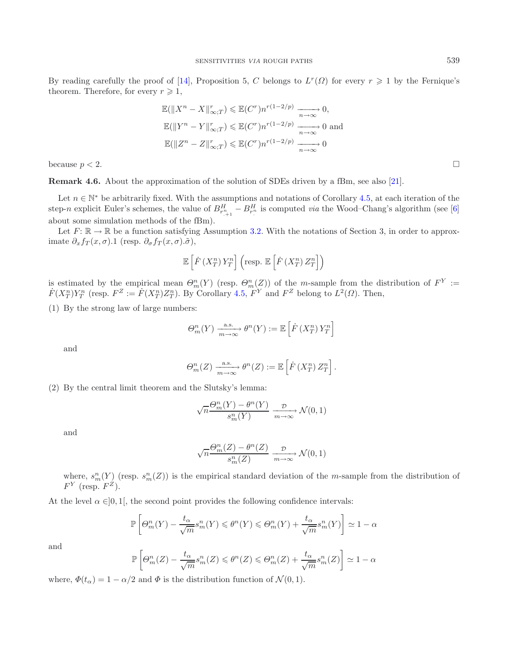By reading carefully the proof of [\[14](#page-28-15)], Proposition 5, C belongs to  $L^r(\Omega)$  for every  $r \geq 1$  by the Fernique's theorem. Therefore, for every  $r \geqslant 1$ ,

$$
\mathbb{E}(\|X^n - X\|_{\infty;T}^r) \leq \mathbb{E}(C^r)n^{r(1-2/p)} \xrightarrow[n \to \infty]{} 0,
$$
  

$$
\mathbb{E}(\|Y^n - Y\|_{\infty;T}^r) \leq \mathbb{E}(C^r)n^{r(1-2/p)} \xrightarrow[n \to \infty]{} 0 \text{ and}
$$
  

$$
\mathbb{E}(\|Z^n - Z\|_{\infty;T}^r) \leq \mathbb{E}(C^r)n^{r(1-2/p)} \xrightarrow[n \to \infty]{} 0
$$

because  $p < 2$ .

**Remark 4.6.** About the approximation of the solution of SDEs driven by a fBm, see also [\[21](#page-28-16)].

Let  $n \in \mathbb{N}^*$  be arbitrarily fixed. With the assumptions and notations of Corollary [4.5,](#page-23-1) at each iteration of the step-n explicit Euler's schemes, the value of  $B_{r^n_{-1}1}^H - B_{r^n}^H$  is computed *via* the Wood–Chang's algorithm (see [\[6\]](#page-27-8) about some simulation methods of the fBm).

Let  $F: \mathbb{R} \to \mathbb{R}$  be a function satisfying Assumption [3.2.](#page-17-1) With the notations of Section 3, in order to approximate  $\partial_x f_T(x, \sigma)$ .1 (resp.  $\partial_{\sigma} f_T(x, \sigma)$ . $\tilde{\sigma}$ ),

$$
\mathbb{E}\left[ \dot{F}\left( X_{T}^{n}\right) Y_{T}^{n}\right] \left( \text{resp.}\;\mathbb{E}\left[ \dot{F}\left( X_{T}^{n}\right) Z_{T}^{n}\right] \right)
$$

is estimated by the empirical mean  $\Theta_m^n(Y)$  (resp.  $\Theta_m^n(Z)$ ) of the m-sample from the distribution of  $F^Y :=$  $\dot{F}(X_T^n)Y_T^n$  (resp.  $F^Z := \dot{F}(X_T^n)Z_T^n$ ). By Corollary [4.5,](#page-23-1)  $\overline{F}^Y$  and  $F^Z$  belong to  $L^2(\Omega)$ . Then,

(1) By the strong law of large numbers:

$$
\Theta_m^n(Y) \xrightarrow[m \to \infty]{\text{a.s.}} \theta^n(Y) := \mathbb{E}\left[\dot{F}\left(X_T^n\right)Y_T^n\right]
$$

and

$$
\Theta_m^n(Z) \xrightarrow[m \to \infty]{\text{a.s.}} \theta^n(Z) := \mathbb{E}\left[\dot{F}(X_T^n) Z_T^n\right].
$$

(2) By the central limit theorem and the Slutsky's lemma:

$$
\sqrt{n} \frac{\Theta_m^n(Y) - \theta^n(Y)}{s_m^n(Y)} \xrightarrow[m \to \infty]{} \mathcal{N}(0,1)
$$

and

$$
\sqrt{n} \frac{\Theta_m^n(Z) - \theta^n(Z)}{s_m^n(Z)} \xrightarrow[m \to \infty]{} \mathcal{N}(0,1)
$$

where,  $s_m^n(Y)$  (resp.  $s_m^n(Z)$ ) is the empirical standard deviation of the m-sample from the distribution of  $F<sup>Y</sup>$  (resp.  $F<sup>Z</sup>$ ).

At the level  $\alpha \in ]0,1[$ , the second point provides the following confidence intervals:

$$
\mathbb{P}\left[\Theta_{m}^{n}(Y) - \frac{t_{\alpha}}{\sqrt{m}}s_{m}^{n}(Y) \leqslant \theta^{n}(Y) \leqslant \Theta_{m}^{n}(Y) + \frac{t_{\alpha}}{\sqrt{m}}s_{m}^{n}(Y)\right] \simeq 1 - \alpha
$$

and

$$
\mathbb{P}\left[\Theta_m^n(Z) - \frac{t_\alpha}{\sqrt{m}} s_m^n(Z) \leqslant \theta^n(Z) \leqslant \Theta_m^n(Z) + \frac{t_\alpha}{\sqrt{m}} s_m^n(Z)\right] \simeq 1 - \alpha
$$

where,  $\Phi(t_{\alpha})=1 - \alpha/2$  and  $\Phi$  is the distribution function of  $\mathcal{N}(0, 1)$ .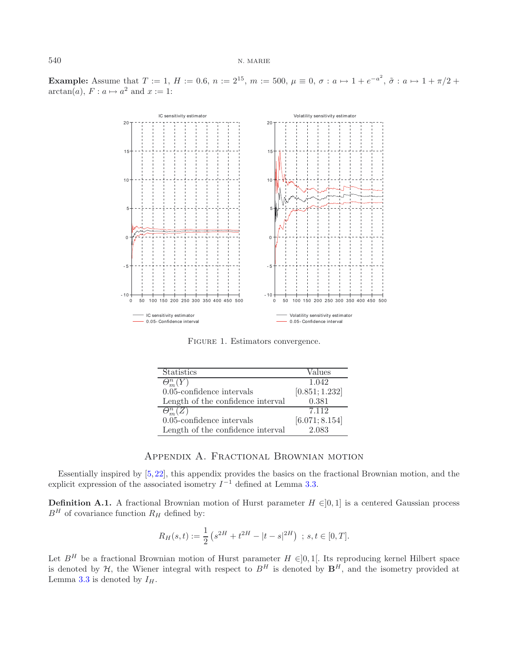**Example:** Assume that  $T := 1$ ,  $H := 0.6$ ,  $n := 2^{15}$ ,  $m := 500$ ,  $\mu \equiv 0$ ,  $\sigma : a \mapsto 1 + e^{-a^2}$ ,  $\tilde{\sigma} : a \mapsto 1 + \pi/2 + \pi/2$  $arctan(a)$ ,  $F: a \mapsto a^2$  and  $x := 1$ :



Figure 1. Estimators convergence.

| <b>Statistics</b>                 | Values         |
|-----------------------------------|----------------|
| $\Theta_m^{\overline{n}}(Y)$      | 1.042          |
| $0.05$ -confidence intervals      | [0.851; 1.232] |
| Length of the confidence interval | 0.381          |
| $\Theta_{-}^n(Z)$                 | 7.112          |
| $0.05$ -confidence intervals      | [6.071; 8.154] |
| Length of the confidence interval | 2.083          |

## Appendix A. Fractional Brownian motion

Essentially inspired by [\[5,](#page-27-6) [22\]](#page-28-7), this appendix provides the basics on the fractional Brownian motion, and the explicit expression of the associated isometry  $I^{-1}$  defined at Lemma [3.3.](#page-17-2)

**Definition A.1.** A fractional Brownian motion of Hurst parameter  $H \in ]0,1]$  is a centered Gaussian process  $B<sup>H</sup>$  of covariance function  $R<sub>H</sub>$  defined by:

$$
R_H(s,t) := \frac{1}{2} \left( s^{2H} + t^{2H} - |t - s|^{2H} \right) ; s, t \in [0, T].
$$

Let  $B<sup>H</sup>$  be a fractional Brownian motion of Hurst parameter  $H \in ]0,1[$ . Its reproducing kernel Hilbert space is denoted by  $H$ , the Wiener integral with respect to  $B<sup>H</sup>$  is denoted by  $\mathbf{B}<sup>H</sup>$ , and the isometry provided at Lemma [3.3](#page-17-2) is denoted by  $I_H$ .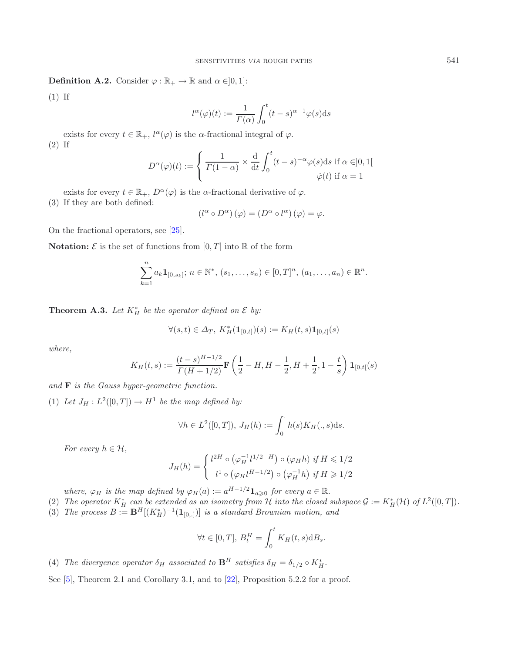**Definition A.2.** Consider  $\varphi : \mathbb{R}_+ \to \mathbb{R}$  and  $\alpha \in ]0,1]$ :

(1) If

$$
l^{\alpha}(\varphi)(t) := \frac{1}{\Gamma(\alpha)} \int_0^t (t - s)^{\alpha - 1} \varphi(s) \mathrm{d}s
$$

exists for every  $t \in \mathbb{R}_+$ ,  $l^{\alpha}(\varphi)$  is the  $\alpha$ -fractional integral of  $\varphi$ . (2) If

$$
D^{\alpha}(\varphi)(t) := \begin{cases} \frac{1}{\Gamma(1-\alpha)} \times \frac{d}{dt} \int_0^t (t-s)^{-\alpha} \varphi(s) ds \text{ if } \alpha \in ]0,1[ \\ \dot{\varphi}(t) \text{ if } \alpha = 1 \end{cases}
$$

exists for every  $t \in \mathbb{R}_+$ ,  $D^{\alpha}(\varphi)$  is the  $\alpha$ -fractional derivative of  $\varphi$ .

(3) If they are both defined:

$$
(l^{\alpha} \circ D^{\alpha}) (\varphi) = (D^{\alpha} \circ l^{\alpha}) (\varphi) = \varphi.
$$

On the fractional operators, see [\[25\]](#page-28-17).

**Notation:**  $\mathcal{E}$  is the set of functions from  $[0, T]$  into  $\mathbb{R}$  of the form

$$
\sum_{k=1}^n a_k \mathbf{1}_{[0,s_k]};\, n \in \mathbb{N}^*,\, (s_1,\ldots,s_n) \in [0,T]^n,\, (a_1,\ldots,a_n) \in \mathbb{R}^n.
$$

**Theorem A.3.** Let  $K_H^*$  be the operator defined on  $\mathcal{E}$  by:

$$
\forall (s,t) \in \varDelta_T,\ K^*_H(\mathbf{1}_{[0,t]})(s) := K_H(t,s)\mathbf{1}_{[0,t]}(s)
$$

*where,*

$$
K_H(t,s) := \frac{(t-s)^{H-1/2}}{\Gamma(H+1/2)} \mathbf{F}\left(\frac{1}{2} - H, H - \frac{1}{2}, H + \frac{1}{2}, 1 - \frac{t}{s}\right) \mathbf{1}_{[0,t[}(s)
$$

*and* **F** *is the Gauss hyper-geometric function.*

(1) Let  $J_H: L^2([0,T]) \to H^1$  be the map defined by:

$$
\forall h \in L^2([0,T]), J_H(h) := \int_0^{\cdot} h(s)K_H(.,s)ds.
$$

*For every*  $h \in \mathcal{H}$ ,

$$
J_H(h) = \begin{cases} l^{2H} \circ (\varphi_H^{-1} l^{1/2 - H}) \circ (\varphi_H h) & \text{if } H \leq 1/2 \\ l^1 \circ (\varphi_H l^{H-1/2}) \circ (\varphi_H^{-1} h) & \text{if } H \geq 1/2 \end{cases}
$$

*where,*  $\varphi_H$  *is the map defined by*  $\varphi_H(a) := a^{H-1/2} \mathbf{1}_{a \geqslant 0}$  *for every*  $a \in \mathbb{R}$ *.* 

- (2) The operator  $K_H^*$  can be extended as an isometry from  $H$  into the closed subspace  $\mathcal{G} := K_H^*(\mathcal{H})$  of  $L^2([0,T])$ .
- (3) *The process*  $B := \mathbf{B}^H[(K_H^*)^{-1}(\mathbf{1}_{[0,.]})]$  *is a standard Brownian motion, and*

$$
\forall t \in [0, T], B_t^H = \int_0^t K_H(t, s) \mathrm{d}B_s.
$$

(4) *The divergence operator*  $\delta_H$  *associated to*  $\mathbf{B}^H$  *satisfies*  $\delta_H = \delta_{1/2} \circ K_H^*$ .

See [\[5](#page-27-6)], Theorem 2.1 and Corollary 3.1, and to [\[22\]](#page-28-7), Proposition 5.2.2 for a proof.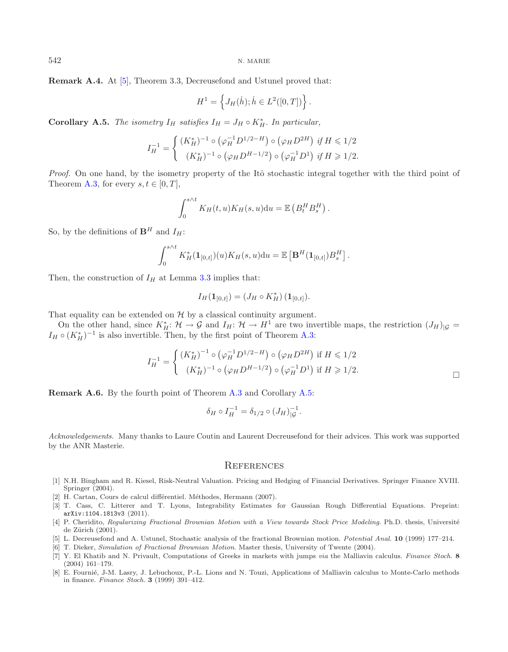**Remark A.4.** At [\[5](#page-27-6)], Theorem 3.3, Decreusefond and Ustunel proved that:

$$
H^{1} = \left\{ J_{H}(\dot{h}); \dot{h} \in L^{2}([0, T]) \right\}.
$$

<span id="page-27-7"></span>**Corollary A.5.** *The isometry*  $I_H$  *satisfies*  $I_H = J_H \circ K_H^*$ . In particular,

$$
I_H^{-1} = \begin{cases} (K_H^*)^{-1} \circ (\varphi_H^{-1} D^{1/2 - H}) \circ (\varphi_H D^{2H}) & \text{if } H \leq 1/2\\ (K_H^*)^{-1} \circ (\varphi_H D^{H-1/2}) \circ (\varphi_H^{-1} D^1) & \text{if } H \geq 1/2. \end{cases}
$$

*Proof.* On one hand, by the isometry property of the Itô stochastic integral together with the third point of Theorem [A.3,](#page-1-1) for every  $s, t \in [0, T]$ ,

$$
\int_0^{s \wedge t} K_H(t, u) K_H(s, u) \mathrm{d}u = \mathbb{E} \left( B_t^H B_s^H \right).
$$

So, by the definitions of  $\mathbf{B}^H$  and  $I_H$ :

$$
\int_0^{s \wedge t} K_H^*(\mathbf{1}_{[0,t]}) (u) K_H(s, u) \mathrm{d}u = \mathbb{E} \left[ \mathbf{B}^H(\mathbf{1}_{[0,t]}) B_s^H \right].
$$

Then, the construction of  $I_H$  at Lemma [3.3](#page-17-2) implies that:

$$
I_H(\mathbf{1}_{[0,t]})=(J_H\circ K_H^*)\,(\mathbf{1}_{[0,t]}).
$$

That equality can be extended on  $H$  by a classical continuity argument.

On the other hand, since  $K_H^* \colon \mathcal{H} \to \mathcal{G}$  and  $I_H \colon \mathcal{H} \to H^1$  are two invertible maps, the restriction  $(J_H)_{|\mathcal{G}} =$  $I_H \circ (K_H^*)^{-1}$  is also invertible. Then, by the first point of Theorem [A.3:](#page-1-1)

$$
I_H^{-1} = \begin{cases} (K_H^*)^{-1} \circ (\varphi_H^{-1} D^{1/2 - H}) \circ (\varphi_H D^{2H}) & \text{if } H \leq 1/2\\ (K_H^*)^{-1} \circ (\varphi_H D^{H-1/2}) \circ (\varphi_H^{-1} D^1) & \text{if } H \geq 1/2. \end{cases}
$$

**Remark A.6.** By the fourth point of Theorem [A.3](#page-1-1) and Corollary [A.5:](#page-27-7)

$$
\delta_H \circ I_H^{-1} = \delta_{1/2} \circ (J_H)_{|G}^{-1}.
$$

*Acknowledgements.* Many thanks to Laure Coutin and Laurent Decreusefond for their advices. This work was supported by the ANR Masterie.

#### **REFERENCES**

- <span id="page-27-0"></span>[1] N.H. Bingham and R. Kiesel, Risk-Neutral Valuation. Pricing and Hedging of Financial Derivatives. Springer Finance XVIII. Springer (2004).
- <span id="page-27-5"></span>[2] H. Cartan, Cours de calcul différentiel. Méthodes, Hermann (2007).
- <span id="page-27-3"></span>[3] T. Cass, C. Litterer and T. Lyons, Integrability Estimates for Gaussian Rough Differential Equations. Preprint: arXiv:1104.1813v3 (2011).
- <span id="page-27-4"></span>[4] P. Cheridito, Regularizing Fractional Brownian Motion with a View towards Stock Price Modeling. Ph.D. thesis, Université de Zürich  $(2001)$ .
- <span id="page-27-6"></span>[5] L. Decreusefond and A. Ustunel, Stochastic analysis of the fractional Brownian motion. Potential Anal. **10** (1999) 177–214.
- <span id="page-27-8"></span>[6] T. Dieker, Simulation of Fractional Brownian Motion. Master thesis, University of Twente (2004).
- <span id="page-27-2"></span>[7] Y. El Khatib and N. Privault, Computations of Greeks in markets with jumps via the Malliavin calculus. Finance Stoch. **8** (2004) 161–179.
- <span id="page-27-1"></span>[8] E. Fournié, J-M. Lasry, J. Lebuchoux, P.-L. Lions and N. Touzi, Applications of Malliavin calculus to Monte-Carlo methods in finance. Finance Stoch. **3** (1999) 391–412.